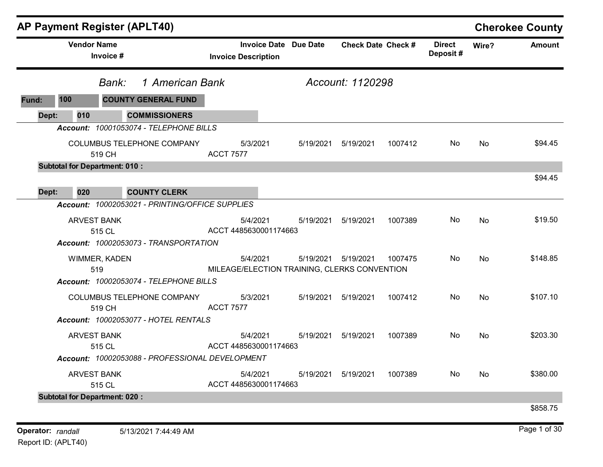|       |                    | <b>AP Payment Register (APLT40)</b>                                                                                    |                                   |                                              |                           |         |                           |           | <b>Cherokee County</b> |
|-------|--------------------|------------------------------------------------------------------------------------------------------------------------|-----------------------------------|----------------------------------------------|---------------------------|---------|---------------------------|-----------|------------------------|
|       | <b>Vendor Name</b> | Invoice #                                                                                                              | <b>Invoice Description</b>        | <b>Invoice Date Due Date</b>                 | <b>Check Date Check #</b> |         | <b>Direct</b><br>Deposit# | Wire?     | <b>Amount</b>          |
|       |                    | 1 American Bank<br>Bank:                                                                                               |                                   |                                              | Account: 1120298          |         |                           |           |                        |
| Fund: | 100                | <b>COUNTY GENERAL FUND</b>                                                                                             |                                   |                                              |                           |         |                           |           |                        |
| Dept: | 010                | <b>COMMISSIONERS</b>                                                                                                   |                                   |                                              |                           |         |                           |           |                        |
|       |                    | Account: 10001053074 - TELEPHONE BILLS                                                                                 |                                   |                                              |                           |         |                           |           |                        |
|       |                    | COLUMBUS TELEPHONE COMPANY<br>519 CH                                                                                   | 5/3/2021<br><b>ACCT 7577</b>      | 5/19/2021                                    | 5/19/2021                 | 1007412 | No.                       | <b>No</b> | \$94.45                |
|       |                    | <b>Subtotal for Department: 010:</b>                                                                                   |                                   |                                              |                           |         |                           |           |                        |
| Dept: | 020                | <b>COUNTY CLERK</b>                                                                                                    |                                   |                                              |                           |         |                           |           | \$94.45                |
|       |                    | Account: 10002053021 - PRINTING/OFFICE SUPPLIES                                                                        |                                   |                                              |                           |         |                           |           |                        |
|       |                    | <b>ARVEST BANK</b><br>515 CL                                                                                           | 5/4/2021<br>ACCT 4485630001174663 | 5/19/2021                                    | 5/19/2021                 | 1007389 | No.                       | No        | \$19.50                |
|       |                    | Account: 10002053073 - TRANSPORTATION<br>WIMMER, KADEN<br>519                                                          | 5/4/2021                          | MILEAGE/ELECTION TRAINING, CLERKS CONVENTION | 5/19/2021  5/19/2021      | 1007475 | No                        | No        | \$148.85               |
|       |                    | Account: 10002053074 - TELEPHONE BILLS<br>COLUMBUS TELEPHONE COMPANY<br>519 CH<br>Account: 10002053077 - HOTEL RENTALS | 5/3/2021<br><b>ACCT 7577</b>      |                                              | 5/19/2021   5/19/2021     | 1007412 | No.                       | <b>No</b> | \$107.10               |
|       |                    | <b>ARVEST BANK</b><br>515 CL<br>Account: 10002053088 - PROFESSIONAL DEVELOPMENT                                        | 5/4/2021<br>ACCT 4485630001174663 | 5/19/2021                                    | 5/19/2021                 | 1007389 | No.                       | <b>No</b> | \$203.30               |
|       |                    | <b>ARVEST BANK</b><br>515 CL                                                                                           | 5/4/2021<br>ACCT 4485630001174663 | 5/19/2021                                    | 5/19/2021                 | 1007389 | No.                       | <b>No</b> | \$380.00               |
|       |                    | <b>Subtotal for Department: 020:</b>                                                                                   |                                   |                                              |                           |         |                           |           | \$858.75               |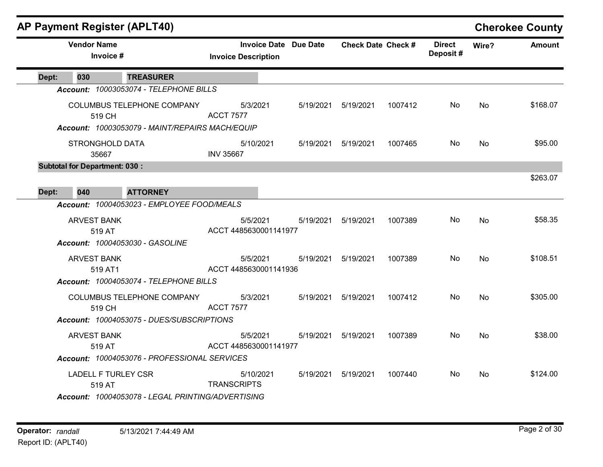|       |                                      | AP Payment Register (APLT40)                                                  |                                   |                              |                           |         |                           |           | <b>Cherokee County</b> |
|-------|--------------------------------------|-------------------------------------------------------------------------------|-----------------------------------|------------------------------|---------------------------|---------|---------------------------|-----------|------------------------|
|       | <b>Vendor Name</b><br>Invoice #      |                                                                               | <b>Invoice Description</b>        | <b>Invoice Date Due Date</b> | <b>Check Date Check #</b> |         | <b>Direct</b><br>Deposit# | Wire?     | <b>Amount</b>          |
| Dept: | 030                                  | <b>TREASURER</b>                                                              |                                   |                              |                           |         |                           |           |                        |
|       |                                      | Account: 10003053074 - TELEPHONE BILLS                                        |                                   |                              |                           |         |                           |           |                        |
|       | 519 CH                               | COLUMBUS TELEPHONE COMPANY<br>Account: 10003053079 - MAINT/REPAIRS MACH/EQUIP | 5/3/2021<br><b>ACCT 7577</b>      | 5/19/2021                    | 5/19/2021                 | 1007412 | No.                       | No        | \$168.07               |
|       | <b>STRONGHOLD DATA</b><br>35667      |                                                                               | 5/10/2021<br><b>INV 35667</b>     | 5/19/2021                    | 5/19/2021                 | 1007465 | No.                       | No        | \$95.00                |
|       | <b>Subtotal for Department: 030:</b> |                                                                               |                                   |                              |                           |         |                           |           |                        |
| Dept: | 040                                  | <b>ATTORNEY</b>                                                               |                                   |                              |                           |         |                           |           | \$263.07               |
|       |                                      | Account: 10004053023 - EMPLOYEE FOOD/MEALS                                    |                                   |                              |                           |         |                           |           |                        |
|       | <b>ARVEST BANK</b><br>519 AT         |                                                                               | 5/5/2021<br>ACCT 4485630001141977 | 5/19/2021                    | 5/19/2021                 | 1007389 | No.                       | No        | \$58.35                |
|       |                                      | Account: 10004053030 - GASOLINE                                               |                                   |                              |                           |         |                           |           |                        |
|       | <b>ARVEST BANK</b><br>519 AT1        |                                                                               | 5/5/2021<br>ACCT 4485630001141936 | 5/19/2021                    | 5/19/2021                 | 1007389 | No.                       | No        | \$108.51               |
|       |                                      | Account: 10004053074 - TELEPHONE BILLS                                        |                                   |                              |                           |         |                           |           |                        |
|       | 519 CH                               | COLUMBUS TELEPHONE COMPANY                                                    | 5/3/2021<br><b>ACCT 7577</b>      | 5/19/2021                    | 5/19/2021                 | 1007412 | No                        | No        | \$305.00               |
|       |                                      | Account: 10004053075 - DUES/SUBSCRIPTIONS                                     |                                   |                              |                           |         |                           |           |                        |
|       | <b>ARVEST BANK</b><br>519 AT         |                                                                               | 5/5/2021<br>ACCT 4485630001141977 | 5/19/2021                    | 5/19/2021                 | 1007389 | No.                       | <b>No</b> | \$38.00                |
|       |                                      | Account: 10004053076 - PROFESSIONAL SERVICES                                  |                                   |                              |                           |         |                           |           |                        |
|       | <b>LADELL F TURLEY CSR</b><br>519 AT |                                                                               | 5/10/2021<br><b>TRANSCRIPTS</b>   | 5/19/2021                    | 5/19/2021                 | 1007440 | No.                       | No        | \$124.00               |
|       |                                      | Account: 10004053078 - LEGAL PRINTING/ADVERTISING                             |                                   |                              |                           |         |                           |           |                        |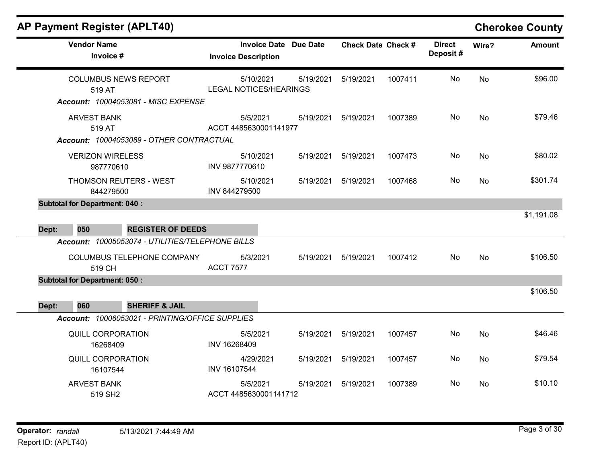| <b>Vendor Name</b><br>Invoice #                                                          | <b>Invoice Date Due Date</b><br><b>Invoice Description</b> | <b>Check Date Check #</b> | <b>Direct</b><br>Deposit# | Wire?     | <b>Amount</b> |
|------------------------------------------------------------------------------------------|------------------------------------------------------------|---------------------------|---------------------------|-----------|---------------|
| <b>COLUMBUS NEWS REPORT</b><br>519 AT<br>Account: 10004053081 - MISC EXPENSE             | 5/10/2021<br>5/19/2021<br><b>LEGAL NOTICES/HEARINGS</b>    | 5/19/2021<br>1007411      | No                        | <b>No</b> | \$96.00       |
| <b>ARVEST BANK</b><br>519 AT<br>Account: 10004053089 - OTHER CONTRACTUAL                 | 5/5/2021<br>5/19/2021<br>ACCT 4485630001141977             | 5/19/2021<br>1007389      | No                        | <b>No</b> | \$79.46       |
| <b>VERIZON WIRELESS</b><br>987770610                                                     | 5/10/2021<br>5/19/2021<br>INV 9877770610                   | 5/19/2021<br>1007473      | No                        | No        | \$80.02       |
| THOMSON REUTERS - WEST<br>844279500                                                      | 5/10/2021<br>5/19/2021<br>INV 844279500                    | 5/19/2021<br>1007468      | No                        | <b>No</b> | \$301.74      |
| <b>Subtotal for Department: 040:</b><br>050<br><b>REGISTER OF DEEDS</b><br>Dept:         |                                                            |                           |                           |           | \$1,191.08    |
| Account: 10005053074 - UTILITIES/TELEPHONE BILLS<br>COLUMBUS TELEPHONE COMPANY<br>519 CH | 5/3/2021<br>5/19/2021<br><b>ACCT 7577</b>                  | 1007412<br>5/19/2021      | No                        | <b>No</b> | \$106.50      |
| <b>Subtotal for Department: 050:</b><br>060<br><b>SHERIFF &amp; JAIL</b><br>Dept:        |                                                            |                           |                           |           | \$106.50      |
| Account: 10006053021 - PRINTING/OFFICE SUPPLIES<br><b>QUILL CORPORATION</b><br>16268409  | 5/5/2021<br>5/19/2021<br>INV 16268409                      | 5/19/2021<br>1007457      | No                        | <b>No</b> | \$46.46       |
| <b>QUILL CORPORATION</b><br>16107544                                                     | 4/29/2021<br>5/19/2021<br>INV 16107544                     | 5/19/2021<br>1007457      | No                        | <b>No</b> | \$79.54       |
| <b>ARVEST BANK</b><br>519 SH <sub>2</sub>                                                | 5/5/2021<br>5/19/2021<br>ACCT 4485630001141712             | 5/19/2021<br>1007389      | No                        | No        | \$10.10       |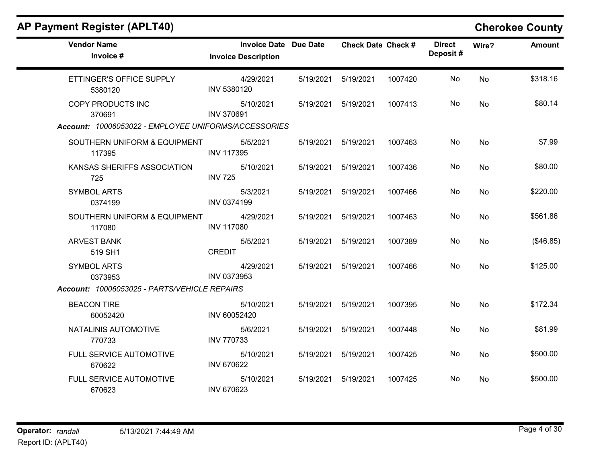| <b>Vendor Name</b><br>Invoice #                                                     | <b>Invoice Date Due Date</b><br><b>Invoice Description</b> |           | <b>Check Date Check #</b> |         | <b>Direct</b><br>Deposit# | Wire? | <b>Amount</b> |
|-------------------------------------------------------------------------------------|------------------------------------------------------------|-----------|---------------------------|---------|---------------------------|-------|---------------|
| ETTINGER'S OFFICE SUPPLY<br>5380120                                                 | 4/29/2021<br>INV 5380120                                   | 5/19/2021 | 5/19/2021                 | 1007420 | No                        | No    | \$318.16      |
| COPY PRODUCTS INC<br>370691<br>Account: 10006053022 - EMPLOYEE UNIFORMS/ACCESSORIES | 5/10/2021<br><b>INV 370691</b>                             | 5/19/2021 | 5/19/2021                 | 1007413 | No.                       | No    | \$80.14       |
| SOUTHERN UNIFORM & EQUIPMENT<br>117395                                              | 5/5/2021<br><b>INV 117395</b>                              | 5/19/2021 | 5/19/2021                 | 1007463 | No                        | No    | \$7.99        |
| KANSAS SHERIFFS ASSOCIATION<br>725                                                  | 5/10/2021<br><b>INV 725</b>                                | 5/19/2021 | 5/19/2021                 | 1007436 | No                        | No    | \$80.00       |
| <b>SYMBOL ARTS</b><br>0374199                                                       | 5/3/2021<br>INV 0374199                                    | 5/19/2021 | 5/19/2021                 | 1007466 | No                        | No    | \$220.00      |
| SOUTHERN UNIFORM & EQUIPMENT<br>117080                                              | 4/29/2021<br><b>INV 117080</b>                             | 5/19/2021 | 5/19/2021                 | 1007463 | No                        | No    | \$561.86      |
| <b>ARVEST BANK</b><br>519 SH1                                                       | 5/5/2021<br><b>CREDIT</b>                                  | 5/19/2021 | 5/19/2021                 | 1007389 | No                        | No    | (\$46.85)     |
| <b>SYMBOL ARTS</b><br>0373953<br>Account: 10006053025 - PARTS/VEHICLE REPAIRS       | 4/29/2021<br>INV 0373953                                   | 5/19/2021 | 5/19/2021                 | 1007466 | No                        | No    | \$125.00      |
| <b>BEACON TIRE</b><br>60052420                                                      | 5/10/2021<br>INV 60052420                                  | 5/19/2021 | 5/19/2021                 | 1007395 | No                        | No    | \$172.34      |
| NATALINIS AUTOMOTIVE<br>770733                                                      | 5/6/2021<br><b>INV 770733</b>                              | 5/19/2021 | 5/19/2021                 | 1007448 | No                        | No    | \$81.99       |
| FULL SERVICE AUTOMOTIVE<br>670622                                                   | 5/10/2021<br><b>INV 670622</b>                             | 5/19/2021 | 5/19/2021                 | 1007425 | No                        | No    | \$500.00      |
| FULL SERVICE AUTOMOTIVE<br>670623                                                   | 5/10/2021<br><b>INV 670623</b>                             | 5/19/2021 | 5/19/2021                 | 1007425 | No                        | No    | \$500.00      |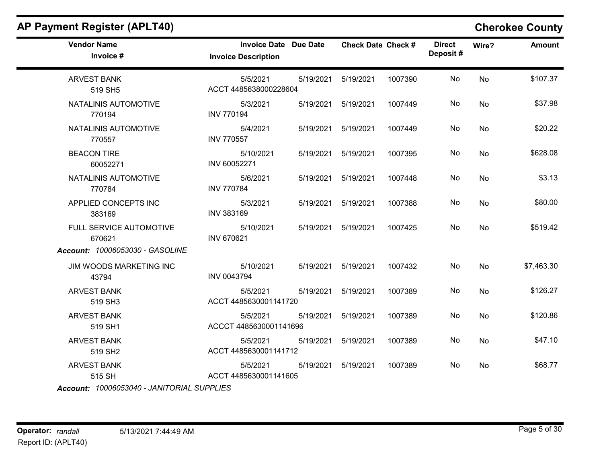| AP Payment Register (APLT40)    |                                                   |           |                           |         |                           |           | <b>Cherokee County</b> |
|---------------------------------|---------------------------------------------------|-----------|---------------------------|---------|---------------------------|-----------|------------------------|
| <b>Vendor Name</b><br>Invoice # | <b>Invoice Date</b><br><b>Invoice Description</b> | Due Date  | <b>Check Date Check #</b> |         | <b>Direct</b><br>Deposit# | Wire?     | <b>Amount</b>          |
| <b>ARVEST BANK</b><br>519 SH5   | 5/5/2021<br>ACCT 4485638000228604                 | 5/19/2021 | 5/19/2021                 | 1007390 | No                        | <b>No</b> | \$107.37               |
| NATALINIS AUTOMOTIVE<br>770194  | 5/3/2021<br><b>INV 770194</b>                     | 5/19/2021 | 5/19/2021                 | 1007449 | No                        | <b>No</b> | \$37.98                |
| NATALINIS AUTOMOTIVE<br>770557  | 5/4/2021<br><b>INV 770557</b>                     | 5/19/2021 | 5/19/2021                 | 1007449 | No                        | <b>No</b> | \$20.22                |
| <b>BEACON TIRE</b><br>60052271  | 5/10/2021<br>INV 60052271                         | 5/19/2021 | 5/19/2021                 | 1007395 | No                        | <b>No</b> | \$628.08               |
| NATALINIS AUTOMOTIVE<br>770784  | 5/6/2021<br><b>INV 770784</b>                     | 5/19/2021 | 5/19/2021                 | 1007448 | No.                       | No        | \$3.13                 |

INV 383169

INV 670621

INV 0043794

ACCT 4485630001141720

ACCCT 4485630001141696

ACCT 4485630001141712

ACCT 4485630001141605

5/3/2021 5/19/2021 5/19/2021 1007388 No \$80.00

5/10/2021 5/19/2021 5/19/2021 1007425 No \$519.42

5/10/2021 5/19/2021 5/19/2021 1007432 No \$7,463.30

5/5/2021 5/19/2021 5/19/2021 1007389 No \$126.27

5/5/2021 5/19/2021 5/19/2021 1007389 No \$120.86

5/5/2021 5/19/2021 5/19/2021 1007389 No \$47.10

5/5/2021 5/19/2021 5/19/2021 1007389 No \$68.77

No

No

No

No

No

No

No

Operator: randall 5/13/2021 7:44:49 AM Report ID: (APLT40)

APPLIED CONCEPTS INC

FULL SERVICE AUTOMOTIVE

Account: 10006053030 - GASOLINE

JIM WOODS MARKETING INC

383169

670621

43794

519 SH3

519 SH1

519 SH2

ARVEST BANK

ARVEST BANK

ARVEST BANK

ARVEST BANK 515 SH

Account: 10006053040 - JANITORIAL SUPPLIES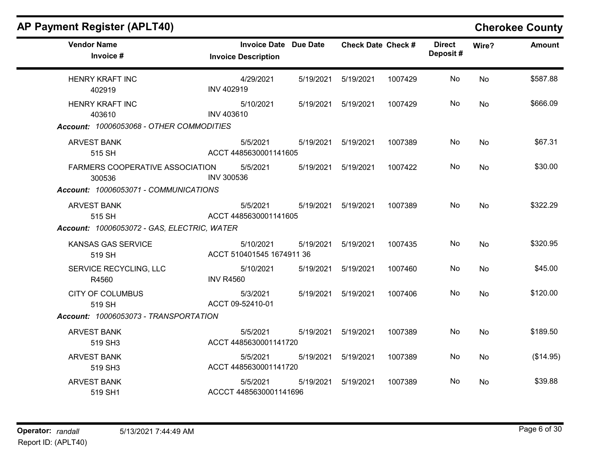| <b>Vendor Name</b><br>Invoice #             | <b>Invoice Date Due Date</b><br><b>Invoice Description</b> |           | <b>Check Date Check #</b> |         | <b>Direct</b><br>Deposit# | Wire?     | <b>Amount</b> |
|---------------------------------------------|------------------------------------------------------------|-----------|---------------------------|---------|---------------------------|-----------|---------------|
| <b>HENRY KRAFT INC</b>                      | 4/29/2021                                                  | 5/19/2021 | 5/19/2021                 | 1007429 | No                        | No        | \$587.88      |
| 402919                                      | <b>INV 402919</b>                                          |           |                           |         |                           |           |               |
| <b>HENRY KRAFT INC</b>                      | 5/10/2021                                                  | 5/19/2021 | 5/19/2021                 | 1007429 | No                        | <b>No</b> | \$666.09      |
| 403610                                      | INV 403610                                                 |           |                           |         |                           |           |               |
| Account: 10006053068 - OTHER COMMODITIES    |                                                            |           |                           |         |                           |           |               |
| <b>ARVEST BANK</b>                          | 5/5/2021                                                   | 5/19/2021 | 5/19/2021                 | 1007389 | No                        | <b>No</b> | \$67.31       |
| 515 SH                                      | ACCT 4485630001141605                                      |           |                           |         |                           |           |               |
| <b>FARMERS COOPERATIVE ASSOCIATION</b>      | 5/5/2021                                                   | 5/19/2021 | 5/19/2021                 | 1007422 | No                        | No        | \$30.00       |
| 300536                                      | <b>INV 300536</b>                                          |           |                           |         |                           |           |               |
| Account: 10006053071 - COMMUNICATIONS       |                                                            |           |                           |         |                           |           |               |
| <b>ARVEST BANK</b>                          | 5/5/2021                                                   | 5/19/2021 | 5/19/2021                 | 1007389 | No                        | No        | \$322.29      |
| 515 SH                                      | ACCT 4485630001141605                                      |           |                           |         |                           |           |               |
| Account: 10006053072 - GAS, ELECTRIC, WATER |                                                            |           |                           |         |                           |           |               |
| <b>KANSAS GAS SERVICE</b>                   | 5/10/2021                                                  | 5/19/2021 | 5/19/2021                 | 1007435 | No                        | No        | \$320.95      |
| 519 SH                                      | ACCT 510401545 1674911 36                                  |           |                           |         |                           |           |               |
| SERVICE RECYCLING, LLC                      | 5/10/2021                                                  | 5/19/2021 | 5/19/2021                 | 1007460 | No                        | No        | \$45.00       |
| R4560                                       | <b>INV R4560</b>                                           |           |                           |         |                           |           |               |
| <b>CITY OF COLUMBUS</b>                     | 5/3/2021                                                   | 5/19/2021 | 5/19/2021                 | 1007406 | No                        | No        | \$120.00      |
| 519 SH                                      | ACCT 09-52410-01                                           |           |                           |         |                           |           |               |
| Account: 10006053073 - TRANSPORTATION       |                                                            |           |                           |         |                           |           |               |
| <b>ARVEST BANK</b>                          | 5/5/2021                                                   | 5/19/2021 | 5/19/2021                 | 1007389 | No                        | No        | \$189.50      |
| 519 SH3                                     | ACCT 4485630001141720                                      |           |                           |         |                           |           |               |
| <b>ARVEST BANK</b>                          | 5/5/2021                                                   | 5/19/2021 | 5/19/2021                 | 1007389 | No                        | No        | (\$14.95)     |
| 519 SH3                                     | ACCT 4485630001141720                                      |           |                           |         |                           |           |               |
| <b>ARVEST BANK</b>                          | 5/5/2021                                                   | 5/19/2021 | 5/19/2021                 | 1007389 | No                        | No        | \$39.88       |
| 519 SH1                                     | ACCCT 4485630001141696                                     |           |                           |         |                           |           |               |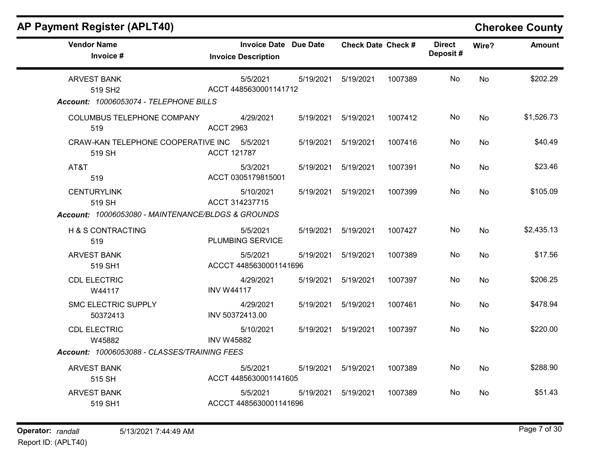| <b>AP Payment Register (APLT40)</b> | <b>Cherokee County</b> |
|-------------------------------------|------------------------|
|-------------------------------------|------------------------|

| <b>Vendor Name</b><br>Invoice #                                                     | Invoice Date Due Date<br><b>Invoice Description</b> |           | <b>Check Date Check #</b> |         | <b>Direct</b><br>Deposit# | Wire?     | <b>Amount</b> |
|-------------------------------------------------------------------------------------|-----------------------------------------------------|-----------|---------------------------|---------|---------------------------|-----------|---------------|
| <b>ARVEST BANK</b><br>519 SH <sub>2</sub><br>Account: 10006053074 - TELEPHONE BILLS | 5/5/2021<br>ACCT 4485630001141712                   | 5/19/2021 | 5/19/2021                 | 1007389 | No                        | <b>No</b> | \$202.29      |
| COLUMBUS TELEPHONE COMPANY<br>519                                                   | 4/29/2021<br><b>ACCT 2963</b>                       | 5/19/2021 | 5/19/2021                 | 1007412 | No                        | <b>No</b> | \$1,526.73    |
| CRAW-KAN TELEPHONE COOPERATIVE INC 5/5/2021<br>519 SH                               | <b>ACCT 121787</b>                                  | 5/19/2021 | 5/19/2021                 | 1007416 | No                        | <b>No</b> | \$40.49       |
| AT&T<br>519                                                                         | 5/3/2021<br>ACCT 0305179815001                      | 5/19/2021 | 5/19/2021                 | 1007391 | No.                       | No.       | \$23.46       |
| <b>CENTURYLINK</b><br>519 SH<br>Account: 10006053080 - MAINTENANCE/BLDGS & GROUNDS  | 5/10/2021<br>ACCT 314237715                         | 5/19/2021 | 5/19/2021                 | 1007399 | No                        | No        | \$105.09      |
| H & S CONTRACTING<br>519                                                            | 5/5/2021<br>PLUMBING SERVICE                        | 5/19/2021 | 5/19/2021                 | 1007427 | No                        | No        | \$2,435.13    |
| <b>ARVEST BANK</b><br>519 SH1                                                       | 5/5/2021<br>ACCCT 4485630001141696                  | 5/19/2021 | 5/19/2021                 | 1007389 | No.                       | <b>No</b> | \$17.56       |
| <b>CDL ELECTRIC</b><br>W44117                                                       | 4/29/2021<br><b>INV W44117</b>                      | 5/19/2021 | 5/19/2021                 | 1007397 | No                        | <b>No</b> | \$206.25      |
| SMC ELECTRIC SUPPLY<br>50372413                                                     | 4/29/2021<br>INV 50372413.00                        | 5/19/2021 | 5/19/2021                 | 1007461 | No                        | <b>No</b> | \$478.94      |
| <b>CDL ELECTRIC</b><br>W45882<br>Account: 10006053088 - CLASSES/TRAINING FEES       | 5/10/2021<br><b>INV W45882</b>                      | 5/19/2021 | 5/19/2021                 | 1007397 | No                        | <b>No</b> | \$220.00      |
| <b>ARVEST BANK</b><br>515 SH                                                        | 5/5/2021<br>ACCT 4485630001141605                   | 5/19/2021 | 5/19/2021                 | 1007389 | No                        | <b>No</b> | \$288.90      |
| <b>ARVEST BANK</b><br>519 SH1                                                       | 5/5/2021<br>ACCCT 4485630001141696                  | 5/19/2021 | 5/19/2021                 | 1007389 | No                        | No.       | \$51.43       |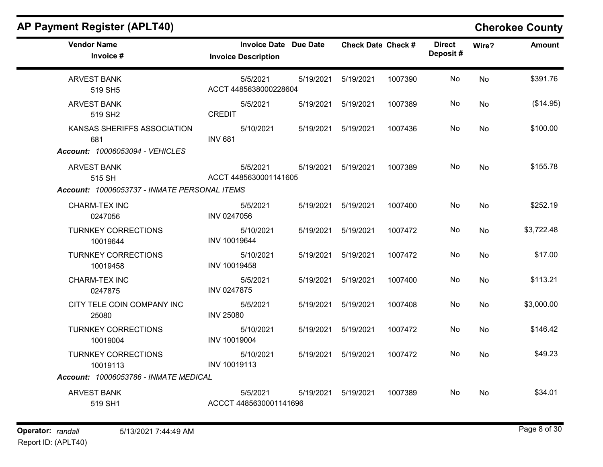| <b>AP Payment Register (APLT40)</b>                                          |                                                            |           |                           |         |                           |           | <b>Cherokee County</b> |
|------------------------------------------------------------------------------|------------------------------------------------------------|-----------|---------------------------|---------|---------------------------|-----------|------------------------|
| <b>Vendor Name</b><br>Invoice #                                              | <b>Invoice Date Due Date</b><br><b>Invoice Description</b> |           | <b>Check Date Check #</b> |         | <b>Direct</b><br>Deposit# | Wire?     | <b>Amount</b>          |
| <b>ARVEST BANK</b><br>519 SH5                                                | 5/5/2021<br>ACCT 4485638000228604                          | 5/19/2021 | 5/19/2021                 | 1007390 | No                        | <b>No</b> | \$391.76               |
| <b>ARVEST BANK</b><br>519 SH <sub>2</sub>                                    | 5/5/2021<br><b>CREDIT</b>                                  | 5/19/2021 | 5/19/2021                 | 1007389 | No                        | No        | (\$14.95)              |
| KANSAS SHERIFFS ASSOCIATION<br>681<br>Account: 10006053094 - VEHICLES        | 5/10/2021<br><b>INV 681</b>                                | 5/19/2021 | 5/19/2021                 | 1007436 | No                        | No        | \$100.00               |
| <b>ARVEST BANK</b><br>515 SH<br>Account: 10006053737 - INMATE PERSONAL ITEMS | 5/5/2021<br>ACCT 4485630001141605                          | 5/19/2021 | 5/19/2021                 | 1007389 | No                        | <b>No</b> | \$155.78               |
| CHARM-TEX INC<br>0247056                                                     | 5/5/2021<br>INV 0247056                                    | 5/19/2021 | 5/19/2021                 | 1007400 | No                        | No        | \$252.19               |
| <b>TURNKEY CORRECTIONS</b><br>10019644                                       | 5/10/2021<br>INV 10019644                                  | 5/19/2021 | 5/19/2021                 | 1007472 | No                        | No        | \$3,722.48             |
| <b>TURNKEY CORRECTIONS</b><br>10019458                                       | 5/10/2021<br>INV 10019458                                  | 5/19/2021 | 5/19/2021                 | 1007472 | No                        | No        | \$17.00                |
| <b>CHARM-TEX INC</b><br>0247875                                              | 5/5/2021<br>INV 0247875                                    | 5/19/2021 | 5/19/2021                 | 1007400 | No                        | No        | \$113.21               |
| CITY TELE COIN COMPANY INC<br>25080                                          | 5/5/2021<br><b>INV 25080</b>                               | 5/19/2021 | 5/19/2021                 | 1007408 | No                        | No        | \$3,000.00             |
| <b>TURNKEY CORRECTIONS</b><br>10019004                                       | 5/10/2021<br>INV 10019004                                  | 5/19/2021 | 5/19/2021                 | 1007472 | No                        | No        | \$146.42               |
| <b>TURNKEY CORRECTIONS</b>                                                   | 5/10/2021                                                  | 5/19/2021 | 5/19/2021                 | 1007472 | No                        | No        | \$49.23                |

Account: 10006053786 - INMATE MEDICAL

ARVEST BANK 519 SH1

10019113

5/5/2021 5/19/2021 5/19/2021 1007389 No \$34.01 ACCCT 4485630001141696

INV 10019113

No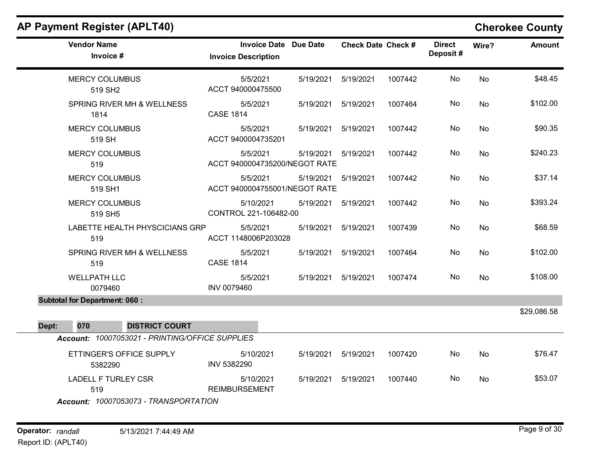| <b>Vendor Name</b><br>Invoice #                 | <b>Invoice Date Due Date</b><br><b>Invoice Description</b> |           | <b>Check Date Check #</b> |         | <b>Direct</b><br>Deposit# | Wire?     | <b>Amount</b> |
|-------------------------------------------------|------------------------------------------------------------|-----------|---------------------------|---------|---------------------------|-----------|---------------|
| <b>MERCY COLUMBUS</b><br>519 SH <sub>2</sub>    | 5/5/2021<br>ACCT 940000475500                              | 5/19/2021 | 5/19/2021                 | 1007442 | No                        | <b>No</b> | \$48.45       |
| SPRING RIVER MH & WELLNESS<br>1814              | 5/5/2021<br><b>CASE 1814</b>                               | 5/19/2021 | 5/19/2021                 | 1007464 | No                        | No        | \$102.00      |
| <b>MERCY COLUMBUS</b><br>519 SH                 | 5/5/2021<br>ACCT 9400004735201                             | 5/19/2021 | 5/19/2021                 | 1007442 | No                        | No        | \$90.35       |
| <b>MERCY COLUMBUS</b><br>519                    | 5/5/2021<br>ACCT 9400004735200/NEGOT RATE                  | 5/19/2021 | 5/19/2021                 | 1007442 | No                        | No        | \$240.23      |
| <b>MERCY COLUMBUS</b><br>519 SH1                | 5/5/2021<br>ACCT 9400004755001/NEGOT RATE                  | 5/19/2021 | 5/19/2021                 | 1007442 | No                        | No        | \$37.14       |
| <b>MERCY COLUMBUS</b><br>519 SH5                | 5/10/2021<br>CONTROL 221-106482-00                         | 5/19/2021 | 5/19/2021                 | 1007442 | No                        | No        | \$393.24      |
| LABETTE HEALTH PHYSCICIANS GRP<br>519           | 5/5/2021<br>ACCT 1148006P203028                            | 5/19/2021 | 5/19/2021                 | 1007439 | No                        | No        | \$68.59       |
| SPRING RIVER MH & WELLNESS<br>519               | 5/5/2021<br><b>CASE 1814</b>                               | 5/19/2021 | 5/19/2021                 | 1007464 | No                        | <b>No</b> | \$102.00      |
| <b>WELLPATH LLC</b><br>0079460                  | 5/5/2021<br>INV 0079460                                    | 5/19/2021 | 5/19/2021                 | 1007474 | No                        | <b>No</b> | \$108.00      |
| <b>Subtotal for Department: 060:</b>            |                                                            |           |                           |         |                           |           | \$29,086.58   |
| Dept:<br>070<br><b>DISTRICT COURT</b>           |                                                            |           |                           |         |                           |           |               |
| Account: 10007053021 - PRINTING/OFFICE SUPPLIES |                                                            |           |                           |         |                           |           |               |
| ETTINGER'S OFFICE SUPPLY<br>5382290             | 5/10/2021<br>INV 5382290                                   | 5/19/2021 | 5/19/2021                 | 1007420 | No                        | No        | \$76.47       |
| <b>LADELL F TURLEY CSR</b><br>519               | 5/10/2021<br><b>REIMBURSEMENT</b>                          | 5/19/2021 | 5/19/2021                 | 1007440 | No                        | No        | \$53.07       |
| Account: 10007053073 - TRANSPORTATION           |                                                            |           |                           |         |                           |           |               |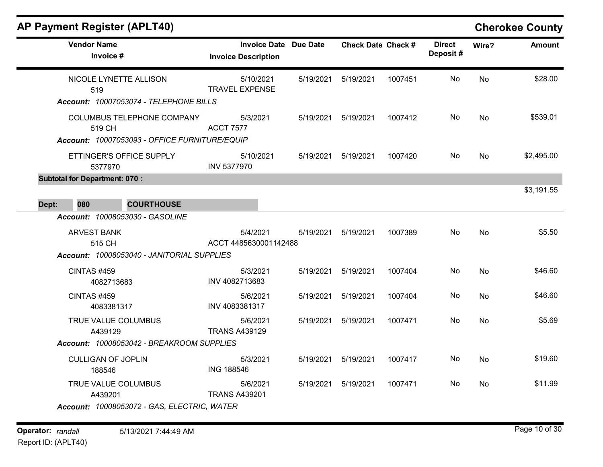## AP Payment Register (APLT40) Cherokee County

| <b>Vendor Name</b><br>Invoice #                                                                               | <b>Invoice Date Due Date</b><br><b>Invoice Description</b> |           | <b>Check Date Check #</b> |         | <b>Direct</b><br>Deposit# | Wire?     | <b>Amount</b> |
|---------------------------------------------------------------------------------------------------------------|------------------------------------------------------------|-----------|---------------------------|---------|---------------------------|-----------|---------------|
| NICOLE LYNETTE ALLISON<br>519<br>Account: 10007053074 - TELEPHONE BILLS                                       | 5/10/2021<br><b>TRAVEL EXPENSE</b>                         | 5/19/2021 | 5/19/2021                 | 1007451 | No                        | No        | \$28.00       |
| COLUMBUS TELEPHONE COMPANY<br>519 CH<br>Account: 10007053093 - OFFICE FURNITURE/EQUIP                         | 5/3/2021<br><b>ACCT 7577</b>                               |           | 5/19/2021   5/19/2021     | 1007412 | No                        | No        | \$539.01      |
| ETTINGER'S OFFICE SUPPLY<br>5377970                                                                           | 5/10/2021<br><b>INV 5377970</b>                            |           | 5/19/2021  5/19/2021      | 1007420 | No.                       | No        | \$2,495.00    |
| <b>Subtotal for Department: 070:</b><br>080<br>Dept:<br><b>COURTHOUSE</b>                                     |                                                            |           |                           |         |                           |           | \$3,191.55    |
| Account: 10008053030 - GASOLINE<br><b>ARVEST BANK</b><br>515 CH<br>Account: 10008053040 - JANITORIAL SUPPLIES | 5/4/2021<br>ACCT 4485630001142488                          | 5/19/2021 | 5/19/2021                 | 1007389 | No                        | No        | \$5.50        |
| CINTAS #459<br>4082713683                                                                                     | 5/3/2021<br>INV 4082713683                                 |           | 5/19/2021   5/19/2021     | 1007404 | No                        | No        | \$46.60       |
| <b>CINTAS #459</b><br>4083381317                                                                              | 5/6/2021<br>INV 4083381317                                 |           | 5/19/2021  5/19/2021      | 1007404 | No.                       | No        | \$46.60       |
| TRUE VALUE COLUMBUS<br>A439129<br>Account: 10008053042 - BREAKROOM SUPPLIES                                   | 5/6/2021<br><b>TRANS A439129</b>                           |           | 5/19/2021   5/19/2021     | 1007471 | No                        | <b>No</b> | \$5.69        |
| <b>CULLIGAN OF JOPLIN</b><br>188546                                                                           | 5/3/2021<br><b>ING 188546</b>                              | 5/19/2021 | 5/19/2021                 | 1007417 | No                        | <b>No</b> | \$19.60       |
| TRUE VALUE COLUMBUS<br>A439201<br>Account: 10008053072 - GAS, ELECTRIC, WATER                                 | 5/6/2021<br><b>TRANS A439201</b>                           | 5/19/2021 | 5/19/2021                 | 1007471 | No                        | No        | \$11.99       |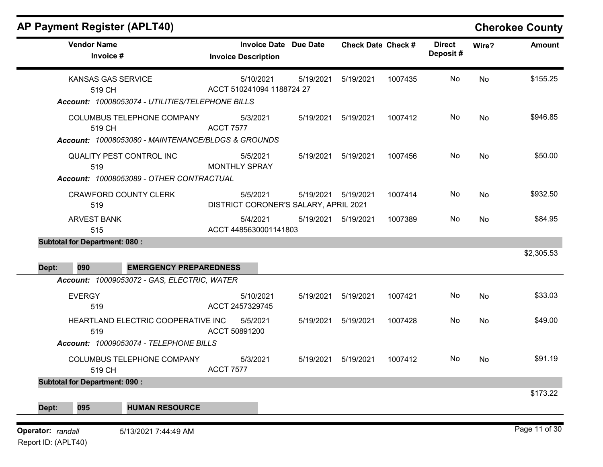|       | <b>AP Payment Register (APLT40)</b><br><b>Vendor Name</b><br>Invoice #                       | <b>Invoice Date Due Date</b><br><b>Invoice Description</b> |           | <b>Check Date Check #</b> |         | <b>Direct</b><br>Deposit# | Wire?     | <b>Cherokee County</b><br><b>Amount</b> |
|-------|----------------------------------------------------------------------------------------------|------------------------------------------------------------|-----------|---------------------------|---------|---------------------------|-----------|-----------------------------------------|
|       | <b>KANSAS GAS SERVICE</b><br>519 CH<br>Account: 10008053074 - UTILITIES/TELEPHONE BILLS      | 5/10/2021<br>ACCT 510241094 1188724 27                     | 5/19/2021 | 5/19/2021                 | 1007435 | No                        | No        | \$155.25                                |
|       | COLUMBUS TELEPHONE COMPANY<br>519 CH                                                         | 5/3/2021<br><b>ACCT 7577</b>                               | 5/19/2021 | 5/19/2021                 | 1007412 | No                        | <b>No</b> | \$946.85                                |
|       | Account: 10008053080 - MAINTENANCE/BLDGS & GROUNDS<br><b>QUALITY PEST CONTROL INC</b><br>519 | 5/5/2021<br><b>MONTHLY SPRAY</b>                           | 5/19/2021 | 5/19/2021                 | 1007456 | No                        | No        | \$50.00                                 |
|       | Account: 10008053089 - OTHER CONTRACTUAL<br><b>CRAWFORD COUNTY CLERK</b><br>519              | 5/5/2021<br>DISTRICT CORONER'S SALARY, APRIL 2021          | 5/19/2021 | 5/19/2021                 | 1007414 | No                        | <b>No</b> | \$932.50                                |
|       | <b>ARVEST BANK</b><br>515                                                                    | 5/4/2021<br>ACCT 4485630001141803                          | 5/19/2021 | 5/19/2021                 | 1007389 | No                        | <b>No</b> | \$84.95                                 |
|       | <b>Subtotal for Department: 080:</b>                                                         |                                                            |           |                           |         |                           |           | \$2,305.53                              |
|       |                                                                                              |                                                            |           |                           |         |                           |           |                                         |
| Dept: | 090<br><b>EMERGENCY PREPAREDNESS</b>                                                         |                                                            |           |                           |         |                           |           |                                         |
|       | Account: 10009053072 - GAS, ELECTRIC, WATER<br><b>EVERGY</b><br>519                          | 5/10/2021<br>ACCT 2457329745                               | 5/19/2021 | 5/19/2021                 | 1007421 | No                        | <b>No</b> | \$33.03                                 |
|       | HEARTLAND ELECTRIC COOPERATIVE INC<br>519                                                    | 5/5/2021<br>ACCT 50891200                                  | 5/19/2021 | 5/19/2021                 | 1007428 | No                        | No        | \$49.00                                 |
|       | Account: 10009053074 - TELEPHONE BILLS<br>COLUMBUS TELEPHONE COMPANY                         | 5/3/2021                                                   | 5/19/2021 | 5/19/2021                 | 1007412 | No                        | No        |                                         |
|       | 519 CH<br><b>Subtotal for Department: 090:</b>                                               | <b>ACCT 7577</b>                                           |           |                           |         |                           |           | \$91.19<br>\$173.22                     |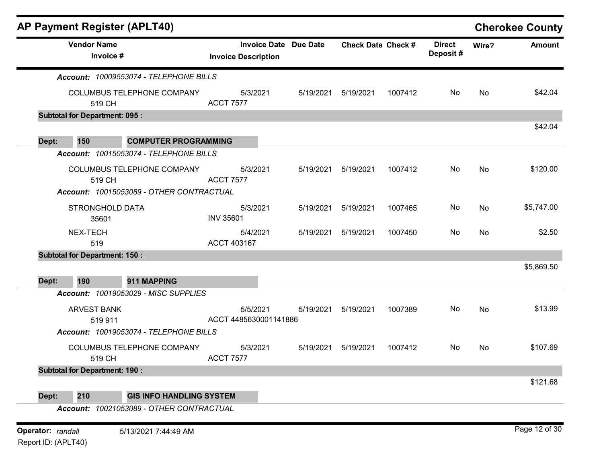| Account: 10009553074 - TELEPHONE BILLS<br>COLUMBUS TELEPHONE COMPANY<br><b>Subtotal for Department: 095:</b><br><b>COMPUTER PROGRAMMING</b><br>Account: 10015053074 - TELEPHONE BILLS<br>COLUMBUS TELEPHONE COMPANY<br>Account: 10015053089 - OTHER CONTRACTUAL<br>STRONGHOLD DATA<br><b>Subtotal for Department: 150:</b> | <b>Invoice Description</b><br><b>ACCT 7577</b><br><b>ACCT 7577</b><br><b>INV 35601</b><br>ACCT 403167 | <b>Invoice Date</b><br>5/3/2021<br>5/3/2021<br>5/3/2021<br>5/4/2021       | <b>Due Date</b><br>5/19/2021<br>5/19/2021<br>5/19/2021<br>5/19/2021 | <b>Check Date Check #</b><br>5/19/2021<br>5/19/2021<br>5/19/2021<br>5/19/2021 | 1007412<br>1007412<br>1007465<br>1007450 | <b>Direct</b><br>Deposit#<br>No<br>No<br>No | Wire?<br>No<br>No<br>No | <b>Amount</b><br>\$42.04<br>\$42.04<br>\$120.00<br>\$5,747.00<br>\$2.50 |
|----------------------------------------------------------------------------------------------------------------------------------------------------------------------------------------------------------------------------------------------------------------------------------------------------------------------------|-------------------------------------------------------------------------------------------------------|---------------------------------------------------------------------------|---------------------------------------------------------------------|-------------------------------------------------------------------------------|------------------------------------------|---------------------------------------------|-------------------------|-------------------------------------------------------------------------|
|                                                                                                                                                                                                                                                                                                                            |                                                                                                       |                                                                           |                                                                     |                                                                               |                                          |                                             |                         |                                                                         |
|                                                                                                                                                                                                                                                                                                                            |                                                                                                       |                                                                           |                                                                     |                                                                               |                                          |                                             |                         |                                                                         |
|                                                                                                                                                                                                                                                                                                                            |                                                                                                       |                                                                           |                                                                     |                                                                               |                                          |                                             |                         |                                                                         |
|                                                                                                                                                                                                                                                                                                                            |                                                                                                       |                                                                           |                                                                     |                                                                               |                                          |                                             |                         |                                                                         |
|                                                                                                                                                                                                                                                                                                                            |                                                                                                       |                                                                           |                                                                     |                                                                               |                                          |                                             |                         |                                                                         |
|                                                                                                                                                                                                                                                                                                                            |                                                                                                       |                                                                           |                                                                     |                                                                               |                                          |                                             |                         |                                                                         |
|                                                                                                                                                                                                                                                                                                                            |                                                                                                       |                                                                           |                                                                     |                                                                               |                                          |                                             |                         |                                                                         |
|                                                                                                                                                                                                                                                                                                                            |                                                                                                       |                                                                           |                                                                     |                                                                               |                                          |                                             |                         |                                                                         |
|                                                                                                                                                                                                                                                                                                                            |                                                                                                       |                                                                           |                                                                     |                                                                               |                                          |                                             |                         |                                                                         |
|                                                                                                                                                                                                                                                                                                                            |                                                                                                       |                                                                           |                                                                     |                                                                               |                                          |                                             |                         |                                                                         |
|                                                                                                                                                                                                                                                                                                                            |                                                                                                       |                                                                           |                                                                     |                                                                               |                                          |                                             |                         |                                                                         |
|                                                                                                                                                                                                                                                                                                                            |                                                                                                       |                                                                           |                                                                     |                                                                               |                                          | No                                          | No                      |                                                                         |
|                                                                                                                                                                                                                                                                                                                            |                                                                                                       |                                                                           |                                                                     |                                                                               |                                          |                                             |                         |                                                                         |
|                                                                                                                                                                                                                                                                                                                            |                                                                                                       |                                                                           |                                                                     |                                                                               |                                          |                                             |                         | \$5,869.50                                                              |
| 911 MAPPING                                                                                                                                                                                                                                                                                                                |                                                                                                       |                                                                           |                                                                     |                                                                               |                                          |                                             |                         |                                                                         |
| Account: 10019053029 - MISC SUPPLIES                                                                                                                                                                                                                                                                                       |                                                                                                       |                                                                           |                                                                     |                                                                               |                                          |                                             |                         |                                                                         |
|                                                                                                                                                                                                                                                                                                                            |                                                                                                       | 5/5/2021                                                                  | 5/19/2021                                                           | 5/19/2021                                                                     | 1007389                                  | No                                          | No                      | \$13.99                                                                 |
|                                                                                                                                                                                                                                                                                                                            |                                                                                                       |                                                                           |                                                                     |                                                                               |                                          |                                             |                         |                                                                         |
|                                                                                                                                                                                                                                                                                                                            |                                                                                                       |                                                                           |                                                                     |                                                                               |                                          |                                             |                         |                                                                         |
| <b>COLUMBUS TELEPHONE COMPANY</b>                                                                                                                                                                                                                                                                                          |                                                                                                       |                                                                           | 5/19/2021                                                           | 5/19/2021                                                                     | 1007412                                  | No                                          | No                      | \$107.69                                                                |
|                                                                                                                                                                                                                                                                                                                            |                                                                                                       |                                                                           |                                                                     |                                                                               |                                          |                                             |                         |                                                                         |
| <b>Subtotal for Department: 190:</b>                                                                                                                                                                                                                                                                                       |                                                                                                       |                                                                           |                                                                     |                                                                               |                                          |                                             |                         |                                                                         |
|                                                                                                                                                                                                                                                                                                                            |                                                                                                       |                                                                           |                                                                     |                                                                               |                                          |                                             |                         | \$121.68                                                                |
|                                                                                                                                                                                                                                                                                                                            |                                                                                                       |                                                                           |                                                                     |                                                                               |                                          |                                             |                         |                                                                         |
|                                                                                                                                                                                                                                                                                                                            |                                                                                                       | Account: 10019053074 - TELEPHONE BILLS<br><b>GIS INFO HANDLING SYSTEM</b> | 5/3/2021<br><b>ACCT 7577</b>                                        | ACCT 4485630001141886                                                         | Account: 10021053089 - OTHER CONTRACTUAL |                                             |                         |                                                                         |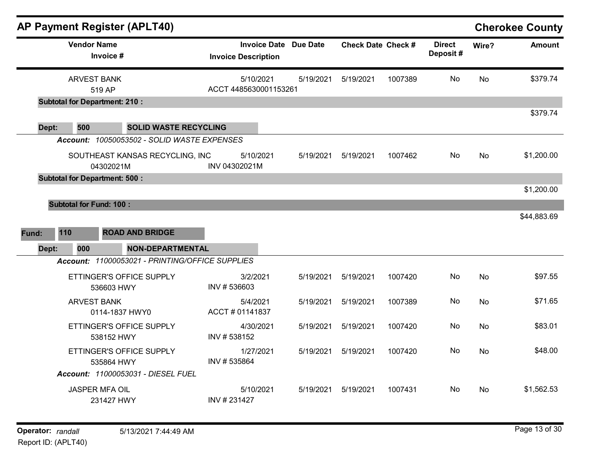|                | <b>AP Payment Register (APLT40)</b>          |                                                                                |               |                                                            |           |                           |         |                           |           | <b>Cherokee County</b> |
|----------------|----------------------------------------------|--------------------------------------------------------------------------------|---------------|------------------------------------------------------------|-----------|---------------------------|---------|---------------------------|-----------|------------------------|
|                | <b>Vendor Name</b><br>Invoice #              |                                                                                |               | <b>Invoice Date Due Date</b><br><b>Invoice Description</b> |           | <b>Check Date Check #</b> |         | <b>Direct</b><br>Deposit# | Wire?     | <b>Amount</b>          |
|                | <b>ARVEST BANK</b><br>519 AP                 |                                                                                |               | 5/10/2021<br>ACCT 4485630001153261                         | 5/19/2021 | 5/19/2021                 | 1007389 | No                        | <b>No</b> | \$379.74               |
| Dept:          | <b>Subtotal for Department: 210:</b><br>500  | <b>SOLID WASTE RECYCLING</b>                                                   |               |                                                            |           |                           |         |                           |           | \$379.74               |
|                | 04302021M                                    | Account: 10050053502 - SOLID WASTE EXPENSES<br>SOUTHEAST KANSAS RECYCLING, INC | INV 04302021M | 5/10/2021                                                  | 5/19/2021 | 5/19/2021                 | 1007462 | No.                       | <b>No</b> | \$1,200.00             |
|                | <b>Subtotal for Department: 500:</b>         |                                                                                |               |                                                            |           |                           |         |                           |           | \$1,200.00             |
| Fund:<br>Dept: | <b>Subtotal for Fund: 100:</b><br>110<br>000 | <b>ROAD AND BRIDGE</b><br><b>NON-DEPARTMENTAL</b>                              |               |                                                            |           |                           |         |                           |           | \$44,883.69            |
|                |                                              | Account: 11000053021 - PRINTING/OFFICE SUPPLIES                                |               |                                                            |           |                           |         |                           |           |                        |
|                | 536603 HWY                                   | ETTINGER'S OFFICE SUPPLY                                                       | INV #536603   | 3/2/2021                                                   | 5/19/2021 | 5/19/2021                 | 1007420 | No                        | <b>No</b> | \$97.55                |
|                | <b>ARVEST BANK</b>                           | 0114-1837 HWY0                                                                 |               | 5/4/2021<br>ACCT # 01141837                                | 5/19/2021 | 5/19/2021                 | 1007389 | No.                       | No        | \$71.65                |
|                | 538152 HWY                                   | ETTINGER'S OFFICE SUPPLY                                                       | INV #538152   | 4/30/2021                                                  | 5/19/2021 | 5/19/2021                 | 1007420 | No                        | No        | \$83.01                |
|                | 535864 HWY                                   | ETTINGER'S OFFICE SUPPLY<br>Account: 11000053031 - DIESEL FUEL                 | INV #535864   | 1/27/2021                                                  | 5/19/2021 | 5/19/2021                 | 1007420 | No.                       | <b>No</b> | \$48.00                |
|                | <b>JASPER MFA OIL</b><br>231427 HWY          |                                                                                | INV #231427   | 5/10/2021                                                  | 5/19/2021 | 5/19/2021                 | 1007431 | No.                       | No.       | \$1,562.53             |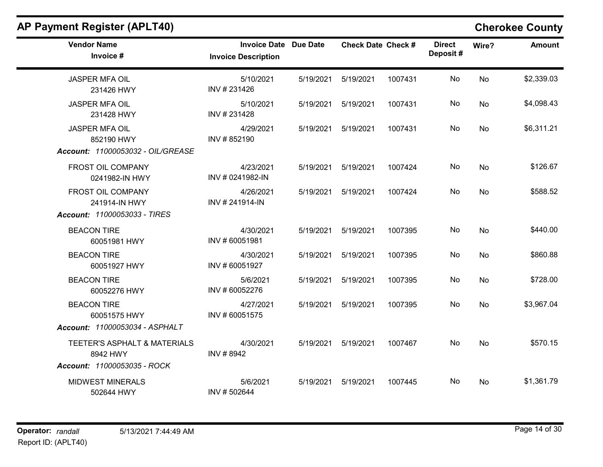$\overline{\phantom{a}}$ 

| <b>Vendor Name</b><br>Invoice #                                          | <b>Invoice Date</b><br><b>Invoice Description</b> | <b>Due Date</b> | <b>Check Date Check #</b> |         | <b>Direct</b><br>Deposit# | Wire?     | <b>Amount</b> |
|--------------------------------------------------------------------------|---------------------------------------------------|-----------------|---------------------------|---------|---------------------------|-----------|---------------|
| <b>JASPER MFA OIL</b><br>231426 HWY                                      | 5/10/2021<br>INV #231426                          | 5/19/2021       | 5/19/2021                 | 1007431 | No                        | <b>No</b> | \$2,339.03    |
| <b>JASPER MFA OIL</b><br>231428 HWY                                      | 5/10/2021<br>INV #231428                          | 5/19/2021       | 5/19/2021                 | 1007431 | No                        | No        | \$4,098.43    |
| <b>JASPER MFA OIL</b><br>852190 HWY<br>Account: 11000053032 - OIL/GREASE | 4/29/2021<br>INV #852190                          | 5/19/2021       | 5/19/2021                 | 1007431 | No                        | No        | \$6,311.21    |
| FROST OIL COMPANY<br>0241982-IN HWY                                      | 4/23/2021<br>INV # 0241982-IN                     | 5/19/2021       | 5/19/2021                 | 1007424 | No                        | <b>No</b> | \$126.67      |
| FROST OIL COMPANY<br>241914-IN HWY<br>Account: 11000053033 - TIRES       | 4/26/2021<br>INV #241914-IN                       | 5/19/2021       | 5/19/2021                 | 1007424 | No                        | <b>No</b> | \$588.52      |
| <b>BEACON TIRE</b><br>60051981 HWY                                       | 4/30/2021<br>INV #60051981                        | 5/19/2021       | 5/19/2021                 | 1007395 | No                        | No        | \$440.00      |
| <b>BEACON TIRE</b><br>60051927 HWY                                       | 4/30/2021<br>INV #60051927                        | 5/19/2021       | 5/19/2021                 | 1007395 | No                        | No        | \$860.88      |
| <b>BEACON TIRE</b><br>60052276 HWY                                       | 5/6/2021<br>INV #60052276                         | 5/19/2021       | 5/19/2021                 | 1007395 | No                        | <b>No</b> | \$728.00      |
| <b>BEACON TIRE</b><br>60051575 HWY<br>Account: 11000053034 - ASPHALT     | 4/27/2021<br>INV #60051575                        | 5/19/2021       | 5/19/2021                 | 1007395 | No                        | <b>No</b> | \$3,967.04    |
| TEETER'S ASPHALT & MATERIALS<br>8942 HWY<br>Account: 11000053035 - ROCK  | 4/30/2021<br>INV #8942                            | 5/19/2021       | 5/19/2021                 | 1007467 | No                        | <b>No</b> | \$570.15      |
| <b>MIDWEST MINERALS</b><br>502644 HWY                                    | 5/6/2021<br>INV #502644                           | 5/19/2021       | 5/19/2021                 | 1007445 | No                        | No        | \$1,361.79    |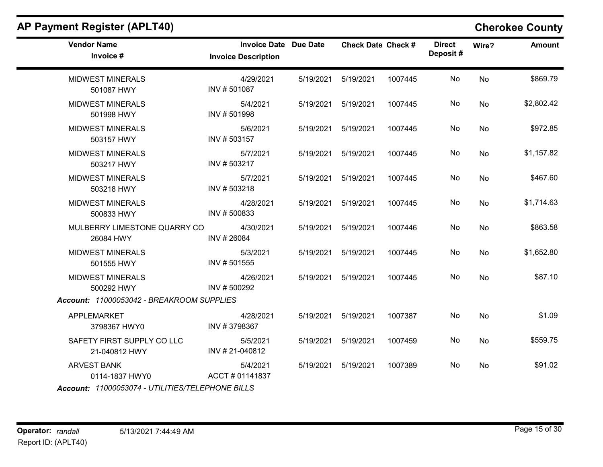| <b>Vendor Name</b><br>Invoice #                  | <b>Invoice Date Due Date</b><br><b>Invoice Description</b> |           | <b>Check Date Check #</b> |         | <b>Direct</b><br>Deposit# | Wire?     | Amount     |
|--------------------------------------------------|------------------------------------------------------------|-----------|---------------------------|---------|---------------------------|-----------|------------|
| <b>MIDWEST MINERALS</b><br>501087 HWY            | 4/29/2021<br>INV #501087                                   | 5/19/2021 | 5/19/2021                 | 1007445 | No                        | No        | \$869.79   |
| <b>MIDWEST MINERALS</b><br>501998 HWY            | 5/4/2021<br>INV #501998                                    | 5/19/2021 | 5/19/2021                 | 1007445 | No                        | No        | \$2,802.42 |
| <b>MIDWEST MINERALS</b><br>503157 HWY            | 5/6/2021<br>INV #503157                                    | 5/19/2021 | 5/19/2021                 | 1007445 | No                        | No        | \$972.85   |
| <b>MIDWEST MINERALS</b><br>503217 HWY            | 5/7/2021<br>INV #503217                                    | 5/19/2021 | 5/19/2021                 | 1007445 | No                        | No        | \$1,157.82 |
| <b>MIDWEST MINERALS</b><br>503218 HWY            | 5/7/2021<br>INV #503218                                    | 5/19/2021 | 5/19/2021                 | 1007445 | No                        | No        | \$467.60   |
| <b>MIDWEST MINERALS</b><br>500833 HWY            | 4/28/2021<br>INV #500833                                   | 5/19/2021 | 5/19/2021                 | 1007445 | No                        | No        | \$1,714.63 |
| MULBERRY LIMESTONE QUARRY CO<br>26084 HWY        | 4/30/2021<br>INV #26084                                    | 5/19/2021 | 5/19/2021                 | 1007446 | No                        | <b>No</b> | \$863.58   |
| <b>MIDWEST MINERALS</b><br>501555 HWY            | 5/3/2021<br>INV #501555                                    | 5/19/2021 | 5/19/2021                 | 1007445 | No                        | No        | \$1,652.80 |
| <b>MIDWEST MINERALS</b><br>500292 HWY            | 4/26/2021<br>INV #500292                                   | 5/19/2021 | 5/19/2021                 | 1007445 | No                        | No        | \$87.10    |
| Account: 11000053042 - BREAKROOM SUPPLIES        |                                                            |           |                           |         |                           |           |            |
| <b>APPLEMARKET</b><br>3798367 HWY0               | 4/28/2021<br>INV #3798367                                  | 5/19/2021 | 5/19/2021                 | 1007387 | No                        | <b>No</b> | \$1.09     |
| SAFETY FIRST SUPPLY CO LLC<br>21-040812 HWY      | 5/5/2021<br>INV #21-040812                                 | 5/19/2021 | 5/19/2021                 | 1007459 | No                        | No        | \$559.75   |
| <b>ARVEST BANK</b><br>0114-1837 HWY0             | 5/4/2021<br>ACCT#01141837                                  | 5/19/2021 | 5/19/2021                 | 1007389 | No                        | <b>No</b> | \$91.02    |
| Account: 11000053074 - UTILITIES/TELEPHONE BILLS |                                                            |           |                           |         |                           |           |            |

# AP Payment Register (APLT40) Cherokee County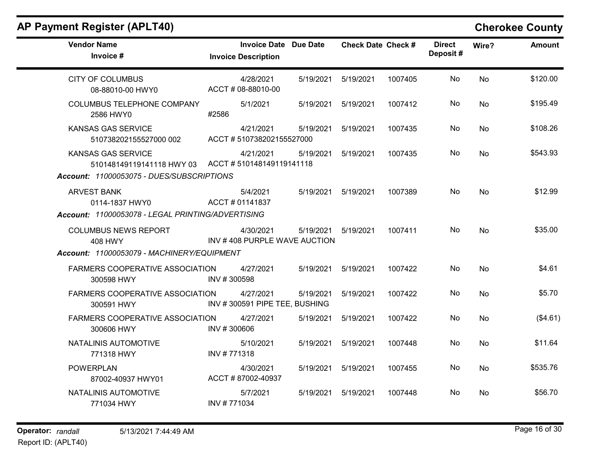| <b>Vendor Name</b><br>Invoice #                                                 | <b>Invoice Date Due Date</b><br><b>Invoice Description</b> |           | <b>Check Date Check #</b> |         | <b>Direct</b><br>Deposit# | Wire?     | <b>Amount</b> |
|---------------------------------------------------------------------------------|------------------------------------------------------------|-----------|---------------------------|---------|---------------------------|-----------|---------------|
| <b>CITY OF COLUMBUS</b><br>08-88010-00 HWY0                                     | 4/28/2021<br>ACCT # 08-88010-00                            | 5/19/2021 | 5/19/2021                 | 1007405 | No                        | No        | \$120.00      |
| COLUMBUS TELEPHONE COMPANY<br>2586 HWY0                                         | 5/1/2021<br>#2586                                          | 5/19/2021 | 5/19/2021                 | 1007412 | No.                       | <b>No</b> | \$195.49      |
| <b>KANSAS GAS SERVICE</b><br>510738202155527000 002                             | 4/21/2021<br>ACCT #510738202155527000                      | 5/19/2021 | 5/19/2021                 | 1007435 | No                        | No        | \$108.26      |
| <b>KANSAS GAS SERVICE</b><br>510148149119141118 HWY 03 ACCT #510148149119141118 | 4/21/2021                                                  | 5/19/2021 | 5/19/2021                 | 1007435 | No.                       | No        | \$543.93      |
| Account: 11000053075 - DUES/SUBSCRIPTIONS                                       |                                                            |           |                           |         |                           |           |               |
| <b>ARVEST BANK</b><br>0114-1837 HWY0                                            | 5/4/2021<br>ACCT#01141837                                  | 5/19/2021 | 5/19/2021                 | 1007389 | No                        | <b>No</b> | \$12.99       |
| Account: 11000053078 - LEGAL PRINTING/ADVERTISING                               |                                                            |           |                           |         |                           |           |               |
| <b>COLUMBUS NEWS REPORT</b><br>408 HWY                                          | 4/30/2021<br>INV #408 PURPLE WAVE AUCTION                  | 5/19/2021 | 5/19/2021                 | 1007411 | No                        | <b>No</b> | \$35.00       |
| Account: 11000053079 - MACHINERY/EQUIPMENT                                      |                                                            |           |                           |         |                           |           |               |
| FARMERS COOPERATIVE ASSOCIATION<br>300598 HWY                                   | 4/27/2021<br>INV #300598                                   | 5/19/2021 | 5/19/2021                 | 1007422 | No                        | <b>No</b> | \$4.61        |
| <b>FARMERS COOPERATIVE ASSOCIATION</b><br>300591 HWY                            | 4/27/2021<br>INV #300591 PIPE TEE, BUSHING                 | 5/19/2021 | 5/19/2021                 | 1007422 | No.                       | <b>No</b> | \$5.70        |
| <b>FARMERS COOPERATIVE ASSOCIATION</b><br>300606 HWY                            | 4/27/2021<br>INV #300606                                   | 5/19/2021 | 5/19/2021                 | 1007422 | No                        | <b>No</b> | (\$4.61)      |
| NATALINIS AUTOMOTIVE<br>771318 HWY                                              | 5/10/2021<br>INV #771318                                   | 5/19/2021 | 5/19/2021                 | 1007448 | No                        | <b>No</b> | \$11.64       |
| <b>POWERPLAN</b><br>87002-40937 HWY01                                           | 4/30/2021<br>ACCT #87002-40937                             | 5/19/2021 | 5/19/2021                 | 1007455 | No                        | <b>No</b> | \$535.76      |
| NATALINIS AUTOMOTIVE<br>771034 HWY                                              | 5/7/2021<br>INV #771034                                    | 5/19/2021 | 5/19/2021                 | 1007448 | No.                       | No        | \$56.70       |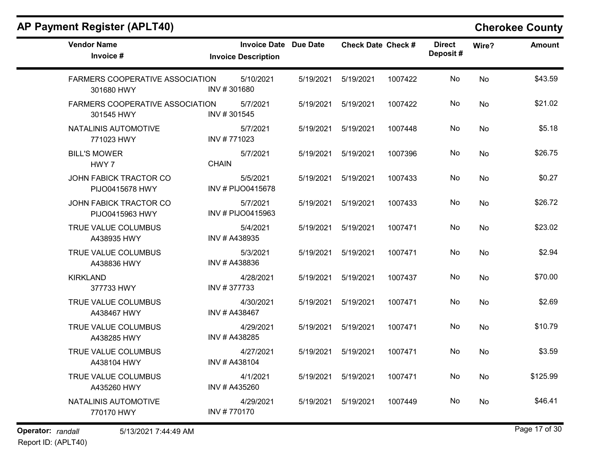| <b>Vendor Name</b><br>Invoice #                      | <b>Invoice Date Due Date</b><br><b>Invoice Description</b> |           | <b>Check Date Check #</b> |         | <b>Direct</b><br>Deposit# | Wire?     | <b>Amount</b> |
|------------------------------------------------------|------------------------------------------------------------|-----------|---------------------------|---------|---------------------------|-----------|---------------|
| <b>FARMERS COOPERATIVE ASSOCIATION</b><br>301680 HWY | 5/10/2021<br>INV #301680                                   | 5/19/2021 | 5/19/2021                 | 1007422 | No                        | No        | \$43.59       |
| <b>FARMERS COOPERATIVE ASSOCIATION</b><br>301545 HWY | 5/7/2021<br>INV #301545                                    | 5/19/2021 | 5/19/2021                 | 1007422 | No                        | No        | \$21.02       |
| NATALINIS AUTOMOTIVE<br>771023 HWY                   | 5/7/2021<br>INV #771023                                    | 5/19/2021 | 5/19/2021                 | 1007448 | No                        | No        | \$5.18        |
| <b>BILL'S MOWER</b><br>HWY 7                         | 5/7/2021<br><b>CHAIN</b>                                   | 5/19/2021 | 5/19/2021                 | 1007396 | No                        | No        | \$26.75       |
| JOHN FABICK TRACTOR CO<br>PIJO0415678 HWY            | 5/5/2021<br>INV # PIJO0415678                              | 5/19/2021 | 5/19/2021                 | 1007433 | No                        | No        | \$0.27        |
| JOHN FABICK TRACTOR CO<br>PIJO0415963 HWY            | 5/7/2021<br>INV # PIJO0415963                              | 5/19/2021 | 5/19/2021                 | 1007433 | No                        | No        | \$26.72       |
| TRUE VALUE COLUMBUS<br>A438935 HWY                   | 5/4/2021<br>INV # A438935                                  | 5/19/2021 | 5/19/2021                 | 1007471 | No                        | No        | \$23.02       |
| TRUE VALUE COLUMBUS<br>A438836 HWY                   | 5/3/2021<br>INV # A438836                                  | 5/19/2021 | 5/19/2021                 | 1007471 | No                        | No        | \$2.94        |
| <b>KIRKLAND</b><br>377733 HWY                        | 4/28/2021<br>INV #377733                                   | 5/19/2021 | 5/19/2021                 | 1007437 | No                        | No        | \$70.00       |
| TRUE VALUE COLUMBUS<br>A438467 HWY                   | 4/30/2021<br>INV # A438467                                 | 5/19/2021 | 5/19/2021                 | 1007471 | No                        | No        | \$2.69        |
| TRUE VALUE COLUMBUS<br>A438285 HWY                   | 4/29/2021<br>INV # A438285                                 | 5/19/2021 | 5/19/2021                 | 1007471 | <b>No</b>                 | <b>No</b> | \$10.79       |
| TRUE VALUE COLUMBUS<br>A438104 HWY                   | 4/27/2021<br>INV # A438104                                 | 5/19/2021 | 5/19/2021                 | 1007471 | No                        | No        | \$3.59        |
| TRUE VALUE COLUMBUS<br>A435260 HWY                   | 4/1/2021<br>INV # A435260                                  | 5/19/2021 | 5/19/2021                 | 1007471 | No                        | No        | \$125.99      |
| NATALINIS AUTOMOTIVE<br>770170 HWY                   | 4/29/2021<br>INV #770170                                   | 5/19/2021 | 5/19/2021                 | 1007449 | No.                       | <b>No</b> | \$46.41       |

Operator: randall 5/13/2021 7:44:49 AM Report ID: (APLT40)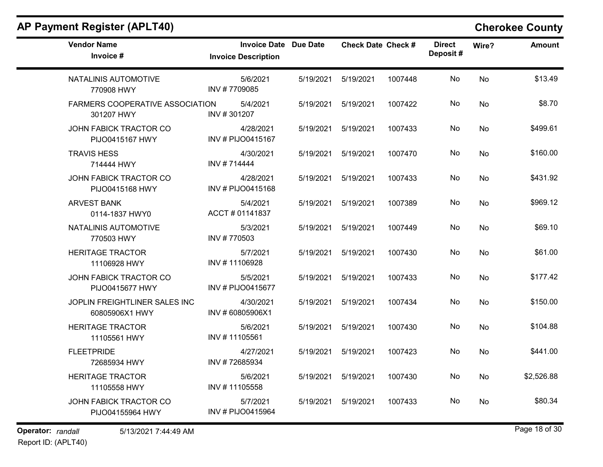| <b>Vendor Name</b><br>Invoice #                      | <b>Invoice Date Due Date</b><br><b>Invoice Description</b> |           | <b>Check Date Check #</b> |         | <b>Direct</b><br>Deposit# | Wire?     | <b>Amount</b> |
|------------------------------------------------------|------------------------------------------------------------|-----------|---------------------------|---------|---------------------------|-----------|---------------|
| NATALINIS AUTOMOTIVE<br>770908 HWY                   | 5/6/2021<br>INV #7709085                                   | 5/19/2021 | 5/19/2021                 | 1007448 | No                        | <b>No</b> | \$13.49       |
| <b>FARMERS COOPERATIVE ASSOCIATION</b><br>301207 HWY | 5/4/2021<br>INV #301207                                    | 5/19/2021 | 5/19/2021                 | 1007422 | No                        | No        | \$8.70        |
| JOHN FABICK TRACTOR CO<br>PIJO0415167 HWY            | 4/28/2021<br>INV # PIJO0415167                             | 5/19/2021 | 5/19/2021                 | 1007433 | No                        | No        | \$499.61      |
| <b>TRAVIS HESS</b><br>714444 HWY                     | 4/30/2021<br>INV #714444                                   | 5/19/2021 | 5/19/2021                 | 1007470 | No                        | No        | \$160.00      |
| JOHN FABICK TRACTOR CO<br>PIJO0415168 HWY            | 4/28/2021<br>INV # PIJO0415168                             | 5/19/2021 | 5/19/2021                 | 1007433 | No.                       | No        | \$431.92      |
| <b>ARVEST BANK</b><br>0114-1837 HWY0                 | 5/4/2021<br>ACCT # 01141837                                | 5/19/2021 | 5/19/2021                 | 1007389 | No                        | No        | \$969.12      |
| NATALINIS AUTOMOTIVE<br>770503 HWY                   | 5/3/2021<br>INV #770503                                    | 5/19/2021 | 5/19/2021                 | 1007449 | No.                       | <b>No</b> | \$69.10       |
| <b>HERITAGE TRACTOR</b><br>11106928 HWY              | 5/7/2021<br>INV #11106928                                  | 5/19/2021 | 5/19/2021                 | 1007430 | No.                       | No        | \$61.00       |
| JOHN FABICK TRACTOR CO<br>PIJO0415677 HWY            | 5/5/2021<br>INV # PIJO0415677                              | 5/19/2021 | 5/19/2021                 | 1007433 | No                        | No        | \$177.42      |
| JOPLIN FREIGHTLINER SALES INC<br>60805906X1 HWY      | 4/30/2021<br>INV #60805906X1                               | 5/19/2021 | 5/19/2021                 | 1007434 | No.                       | No        | \$150.00      |
| <b>HERITAGE TRACTOR</b><br>11105561 HWY              | 5/6/2021<br>INV #11105561                                  | 5/19/2021 | 5/19/2021                 | 1007430 | No                        | No        | \$104.88      |
| <b>FLEETPRIDE</b><br>72685934 HWY                    | 4/27/2021<br>INV #72685934                                 | 5/19/2021 | 5/19/2021                 | 1007423 | No                        | No        | \$441.00      |
| <b>HERITAGE TRACTOR</b><br>11105558 HWY              | 5/6/2021<br>INV #11105558                                  | 5/19/2021 | 5/19/2021                 | 1007430 | No                        | No        | \$2,526.88    |
| JOHN FABICK TRACTOR CO<br>PIJO04155964 HWY           | 5/7/2021<br>INV # PIJO0415964                              | 5/19/2021 | 5/19/2021                 | 1007433 | No.                       | <b>No</b> | \$80.34       |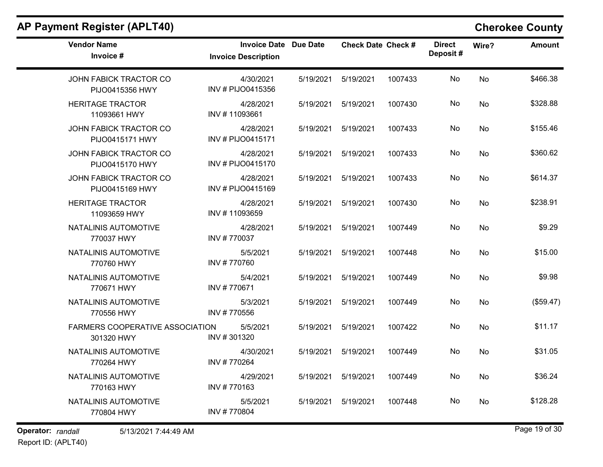$\overline{\phantom{a}}$ 

| <b>Vendor Name</b><br>Invoice #           |                                        | <b>Invoice Date Due Date</b><br><b>Invoice Description</b> |           | <b>Check Date Check #</b> |         | <b>Direct</b><br>Deposit# | Wire?     | <b>Amount</b> |
|-------------------------------------------|----------------------------------------|------------------------------------------------------------|-----------|---------------------------|---------|---------------------------|-----------|---------------|
| JOHN FABICK TRACTOR CO<br>PIJO0415356 HWY |                                        | 4/30/2021<br>INV # PIJO0415356                             | 5/19/2021 | 5/19/2021                 | 1007433 | No                        | No        | \$466.38      |
| <b>HERITAGE TRACTOR</b><br>11093661 HWY   |                                        | 4/28/2021<br>INV #11093661                                 | 5/19/2021 | 5/19/2021                 | 1007430 | No                        | No        | \$328.88      |
| JOHN FABICK TRACTOR CO<br>PIJO0415171 HWY |                                        | 4/28/2021<br>INV # PIJO0415171                             | 5/19/2021 | 5/19/2021                 | 1007433 | No                        | No        | \$155.46      |
| JOHN FABICK TRACTOR CO<br>PIJO0415170 HWY |                                        | 4/28/2021<br>INV # PIJO0415170                             | 5/19/2021 | 5/19/2021                 | 1007433 | No                        | <b>No</b> | \$360.62      |
| JOHN FABICK TRACTOR CO<br>PIJO0415169 HWY |                                        | 4/28/2021<br>INV # PIJO0415169                             | 5/19/2021 | 5/19/2021                 | 1007433 | No                        | No        | \$614.37      |
| <b>HERITAGE TRACTOR</b><br>11093659 HWY   |                                        | 4/28/2021<br>INV #11093659                                 | 5/19/2021 | 5/19/2021                 | 1007430 | No                        | <b>No</b> | \$238.91      |
| NATALINIS AUTOMOTIVE<br>770037 HWY        |                                        | 4/28/2021<br>INV #770037                                   | 5/19/2021 | 5/19/2021                 | 1007449 | No                        | No        | \$9.29        |
| NATALINIS AUTOMOTIVE<br>770760 HWY        |                                        | 5/5/2021<br>INV #770760                                    | 5/19/2021 | 5/19/2021                 | 1007448 | No                        | No        | \$15.00       |
| NATALINIS AUTOMOTIVE<br>770671 HWY        |                                        | 5/4/2021<br>INV #770671                                    | 5/19/2021 | 5/19/2021                 | 1007449 | No                        | No        | \$9.98        |
| NATALINIS AUTOMOTIVE<br>770556 HWY        |                                        | 5/3/2021<br>INV #770556                                    | 5/19/2021 | 5/19/2021                 | 1007449 | No                        | No        | (\$59.47)     |
| 301320 HWY                                | <b>FARMERS COOPERATIVE ASSOCIATION</b> | 5/5/2021<br>INV #301320                                    | 5/19/2021 | 5/19/2021                 | 1007422 | No                        | <b>No</b> | \$11.17       |
| NATALINIS AUTOMOTIVE<br>770264 HWY        |                                        | 4/30/2021<br>INV #770264                                   | 5/19/2021 | 5/19/2021                 | 1007449 | No                        | No        | \$31.05       |
| NATALINIS AUTOMOTIVE<br>770163 HWY        |                                        | 4/29/2021<br>INV #770163                                   | 5/19/2021 | 5/19/2021                 | 1007449 | No                        | <b>No</b> | \$36.24       |
| NATALINIS AUTOMOTIVE<br>770804 HWY        |                                        | 5/5/2021<br>INV #770804                                    | 5/19/2021 | 5/19/2021                 | 1007448 | No                        | No        | \$128.28      |
|                                           |                                        |                                                            |           |                           |         |                           |           |               |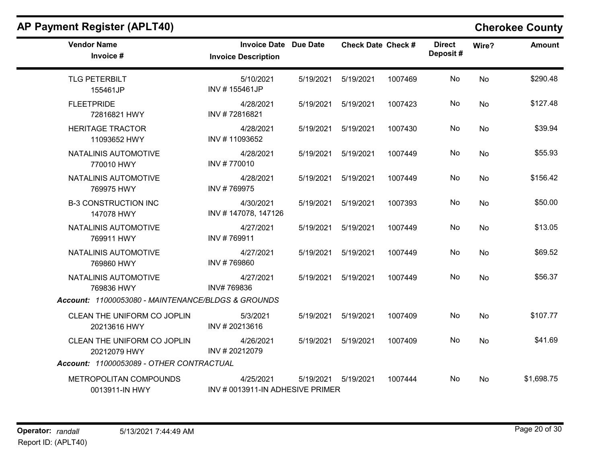| <b>Vendor Name</b><br>Invoice #                    | <b>Invoice Date Due Date</b><br><b>Invoice Description</b> |           | <b>Check Date Check #</b> |         | <b>Direct</b><br>Deposit# | Wire?     | <b>Amount</b> |
|----------------------------------------------------|------------------------------------------------------------|-----------|---------------------------|---------|---------------------------|-----------|---------------|
| <b>TLG PETERBILT</b><br>155461JP                   | 5/10/2021<br>INV #155461JP                                 | 5/19/2021 | 5/19/2021                 | 1007469 | No                        | <b>No</b> | \$290.48      |
| <b>FLEETPRIDE</b><br>72816821 HWY                  | 4/28/2021<br>INV #72816821                                 | 5/19/2021 | 5/19/2021                 | 1007423 | No                        | <b>No</b> | \$127.48      |
| <b>HERITAGE TRACTOR</b><br>11093652 HWY            | 4/28/2021<br>INV #11093652                                 | 5/19/2021 | 5/19/2021                 | 1007430 | No                        | <b>No</b> | \$39.94       |
| NATALINIS AUTOMOTIVE<br>770010 HWY                 | 4/28/2021<br>INV #770010                                   | 5/19/2021 | 5/19/2021                 | 1007449 | No                        | No        | \$55.93       |
| NATALINIS AUTOMOTIVE<br>769975 HWY                 | 4/28/2021<br>INV #769975                                   | 5/19/2021 | 5/19/2021                 | 1007449 | No                        | <b>No</b> | \$156.42      |
| <b>B-3 CONSTRUCTION INC</b><br>147078 HWY          | 4/30/2021<br>INV #147078, 147126                           | 5/19/2021 | 5/19/2021                 | 1007393 | No                        | <b>No</b> | \$50.00       |
| NATALINIS AUTOMOTIVE<br>769911 HWY                 | 4/27/2021<br>INV #769911                                   |           | 5/19/2021   5/19/2021     | 1007449 | No                        | No        | \$13.05       |
| NATALINIS AUTOMOTIVE<br>769860 HWY                 | 4/27/2021<br>INV #769860                                   | 5/19/2021 | 5/19/2021                 | 1007449 | No                        | No        | \$69.52       |
| NATALINIS AUTOMOTIVE<br>769836 HWY                 | 4/27/2021<br>INV#769836                                    | 5/19/2021 | 5/19/2021                 | 1007449 | No                        | <b>No</b> | \$56.37       |
| Account: 11000053080 - MAINTENANCE/BLDGS & GROUNDS |                                                            |           |                           |         |                           |           |               |
| CLEAN THE UNIFORM CO JOPLIN<br>20213616 HWY        | 5/3/2021<br>INV #20213616                                  | 5/19/2021 | 5/19/2021                 | 1007409 | No                        | No        | \$107.77      |
| CLEAN THE UNIFORM CO JOPLIN<br>20212079 HWY        | 4/26/2021<br>INV #20212079                                 | 5/19/2021 | 5/19/2021                 | 1007409 | No                        | No        | \$41.69       |
| Account: 11000053089 - OTHER CONTRACTUAL           |                                                            |           |                           |         |                           |           |               |
| METROPOLITAN COMPOUNDS<br>0013911-IN HWY           | 4/25/2021<br>INV # 0013911-IN ADHESIVE PRIMER              | 5/19/2021 | 5/19/2021                 | 1007444 | No                        | No        | \$1,698.75    |

Report ID: (APLT40)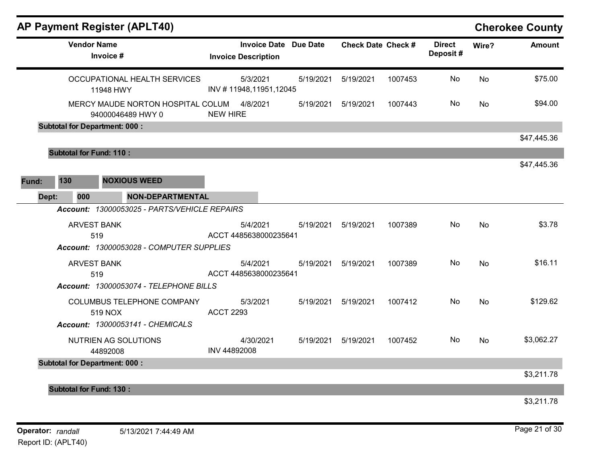|       |                                      | <b>AP Payment Register (APLT40)</b>                    |                  |                                                            |           |                           |         |                           |           | <b>Cherokee County</b> |
|-------|--------------------------------------|--------------------------------------------------------|------------------|------------------------------------------------------------|-----------|---------------------------|---------|---------------------------|-----------|------------------------|
|       | <b>Vendor Name</b>                   | Invoice #                                              |                  | <b>Invoice Date Due Date</b><br><b>Invoice Description</b> |           | <b>Check Date Check #</b> |         | <b>Direct</b><br>Deposit# | Wire?     | <b>Amount</b>          |
|       |                                      | OCCUPATIONAL HEALTH SERVICES<br>11948 HWY              |                  | 5/3/2021<br>INV #11948,11951,12045                         | 5/19/2021 | 5/19/2021                 | 1007453 | No                        | No        | \$75.00                |
|       |                                      | MERCY MAUDE NORTON HOSPITAL COLUM<br>94000046489 HWY 0 | <b>NEW HIRE</b>  | 4/8/2021                                                   | 5/19/2021 | 5/19/2021                 | 1007443 | No                        | No        | \$94.00                |
|       | <b>Subtotal for Department: 000:</b> |                                                        |                  |                                                            |           |                           |         |                           |           |                        |
|       |                                      |                                                        |                  |                                                            |           |                           |         |                           |           | \$47,445.36            |
|       | <b>Subtotal for Fund: 110:</b>       |                                                        |                  |                                                            |           |                           |         |                           |           |                        |
|       |                                      |                                                        |                  |                                                            |           |                           |         |                           |           | \$47,445.36            |
| Fund: | 130                                  | <b>NOXIOUS WEED</b>                                    |                  |                                                            |           |                           |         |                           |           |                        |
| Dept: | 000                                  | <b>NON-DEPARTMENTAL</b>                                |                  |                                                            |           |                           |         |                           |           |                        |
|       |                                      | Account: 13000053025 - PARTS/VEHICLE REPAIRS           |                  |                                                            |           |                           |         |                           |           |                        |
|       | <b>ARVEST BANK</b>                   |                                                        |                  | 5/4/2021                                                   | 5/19/2021 | 5/19/2021                 | 1007389 | No.                       | No        | \$3.78                 |
|       | 519                                  |                                                        |                  | ACCT 4485638000235641                                      |           |                           |         |                           |           |                        |
|       |                                      | Account: 13000053028 - COMPUTER SUPPLIES               |                  |                                                            |           |                           |         |                           |           |                        |
|       | <b>ARVEST BANK</b>                   |                                                        |                  | 5/4/2021                                                   | 5/19/2021 | 5/19/2021                 | 1007389 | No                        | No        | \$16.11                |
|       | 519                                  |                                                        |                  | ACCT 4485638000235641                                      |           |                           |         |                           |           |                        |
|       |                                      | Account: 13000053074 - TELEPHONE BILLS                 |                  |                                                            |           |                           |         |                           |           |                        |
|       |                                      | COLUMBUS TELEPHONE COMPANY                             |                  | 5/3/2021                                                   | 5/19/2021 | 5/19/2021                 | 1007412 | No                        | <b>No</b> | \$129.62               |
|       |                                      | 519 NOX                                                | <b>ACCT 2293</b> |                                                            |           |                           |         |                           |           |                        |
|       |                                      | Account: 13000053141 - CHEMICALS                       |                  |                                                            |           |                           |         |                           |           |                        |
|       |                                      | <b>NUTRIEN AG SOLUTIONS</b>                            | INV 44892008     | 4/30/2021                                                  | 5/19/2021 | 5/19/2021                 | 1007452 | No                        | No        | \$3,062.27             |
|       | <b>Subtotal for Department: 000:</b> | 44892008                                               |                  |                                                            |           |                           |         |                           |           |                        |
|       |                                      |                                                        |                  |                                                            |           |                           |         |                           |           | \$3,211.78             |
|       | <b>Subtotal for Fund: 130:</b>       |                                                        |                  |                                                            |           |                           |         |                           |           |                        |
|       |                                      |                                                        |                  |                                                            |           |                           |         |                           |           | \$3,211.78             |
|       |                                      |                                                        |                  |                                                            |           |                           |         |                           |           |                        |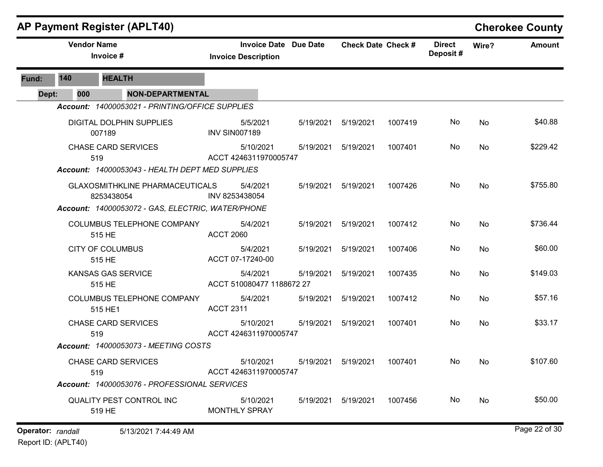|                   |                                    | <b>AP Payment Register (APLT40)</b>                  |                                                            |           |                           |         |                           |       | <b>Cherokee County</b> |
|-------------------|------------------------------------|------------------------------------------------------|------------------------------------------------------------|-----------|---------------------------|---------|---------------------------|-------|------------------------|
|                   |                                    | <b>Vendor Name</b><br>Invoice #                      | <b>Invoice Date Due Date</b><br><b>Invoice Description</b> |           | <b>Check Date Check #</b> |         | <b>Direct</b><br>Deposit# | Wire? | Amount                 |
| Fund:             | 140                                | <b>HEALTH</b>                                        |                                                            |           |                           |         |                           |       |                        |
| Dept:             | 000                                | <b>NON-DEPARTMENTAL</b>                              |                                                            |           |                           |         |                           |       |                        |
|                   |                                    | Account: 14000053021 - PRINTING/OFFICE SUPPLIES      |                                                            |           |                           |         |                           |       |                        |
|                   |                                    | DIGITAL DOLPHIN SUPPLIES<br>007189                   | 5/5/2021<br><b>INV SIN007189</b>                           | 5/19/2021 | 5/19/2021                 | 1007419 | No.                       | No    | \$40.88                |
|                   |                                    | <b>CHASE CARD SERVICES</b><br>519                    | 5/10/2021<br>ACCT 4246311970005747                         | 5/19/2021 | 5/19/2021                 | 1007401 | No                        | No    | \$229.42               |
|                   |                                    | Account: 14000053043 - HEALTH DEPT MED SUPPLIES      |                                                            |           |                           |         |                           |       |                        |
|                   |                                    | <b>GLAXOSMITHKLINE PHARMACEUTICALS</b><br>8253438054 | 5/4/2021<br>INV 8253438054                                 | 5/19/2021 | 5/19/2021                 | 1007426 | No                        | No    | \$755.80               |
|                   |                                    | Account: 14000053072 - GAS, ELECTRIC, WATER/PHONE    |                                                            |           |                           |         |                           |       |                        |
|                   |                                    | COLUMBUS TELEPHONE COMPANY<br>515 HE                 | 5/4/2021<br><b>ACCT 2060</b>                               | 5/19/2021 | 5/19/2021                 | 1007412 | No                        | No    | \$736.44               |
|                   |                                    | <b>CITY OF COLUMBUS</b><br>515 HE                    | 5/4/2021<br>ACCT 07-17240-00                               | 5/19/2021 | 5/19/2021                 | 1007406 | No                        | No    | \$60.00                |
|                   |                                    | <b>KANSAS GAS SERVICE</b><br>515 HE                  | 5/4/2021<br>ACCT 510080477 1188672 27                      | 5/19/2021 | 5/19/2021                 | 1007435 | No                        | No    | \$149.03               |
|                   |                                    | COLUMBUS TELEPHONE COMPANY<br>515 HE1                | 5/4/2021<br><b>ACCT 2311</b>                               | 5/19/2021 | 5/19/2021                 | 1007412 | No                        | No    | \$57.16                |
|                   |                                    | <b>CHASE CARD SERVICES</b><br>519                    | 5/10/2021<br>ACCT 4246311970005747                         | 5/19/2021 | 5/19/2021                 | 1007401 | No                        | No    | \$33.17                |
|                   |                                    | <b>Account: 14000053073 - MEETING COSTS</b>          |                                                            |           |                           |         |                           |       |                        |
|                   |                                    | <b>CHASE CARD SERVICES</b><br>519                    | 5/10/2021<br>ACCT 4246311970005747                         | 5/19/2021 | 5/19/2021                 | 1007401 | No.                       | No.   | \$107.60               |
|                   |                                    | Account: 14000053076 - PROFESSIONAL SERVICES         |                                                            |           |                           |         |                           |       |                        |
|                   | QUALITY PEST CONTROL INC<br>519 HE |                                                      | 5/10/2021<br><b>MONTHLY SPRAY</b>                          | 5/19/2021 | 5/19/2021                 | 1007456 | No                        | No    | \$50.00                |
| Operator: randall |                                    | 5/13/2021 7:44:49 AM                                 |                                                            |           |                           |         |                           |       | Page 22 of 30          |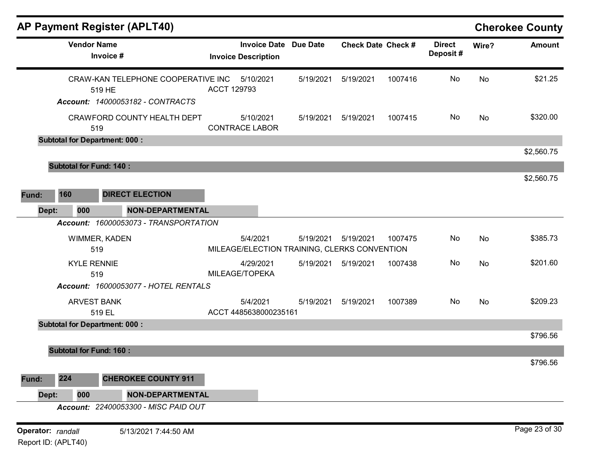|                   |                                | AP Payment Register (APLT40)                 |                            |                              |           |                                                           |         |                           |       | <b>Cherokee County</b> |
|-------------------|--------------------------------|----------------------------------------------|----------------------------|------------------------------|-----------|-----------------------------------------------------------|---------|---------------------------|-------|------------------------|
|                   | <b>Vendor Name</b>             | Invoice #                                    | <b>Invoice Description</b> | <b>Invoice Date Due Date</b> |           | <b>Check Date Check #</b>                                 |         | <b>Direct</b><br>Deposit# | Wire? | <b>Amount</b>          |
|                   |                                | CRAW-KAN TELEPHONE COOPERATIVE INC<br>519 HE | ACCT 129793                | 5/10/2021                    | 5/19/2021 | 5/19/2021                                                 | 1007416 | No                        | No    | \$21.25                |
|                   |                                | Account: 14000053182 - CONTRACTS             |                            |                              |           |                                                           |         |                           |       |                        |
|                   |                                | CRAWFORD COUNTY HEALTH DEPT<br>519           | <b>CONTRACE LABOR</b>      | 5/10/2021                    | 5/19/2021 | 5/19/2021                                                 | 1007415 | No                        | No    | \$320.00               |
|                   |                                | <b>Subtotal for Department: 000:</b>         |                            |                              |           |                                                           |         |                           |       |                        |
|                   |                                |                                              |                            |                              |           |                                                           |         |                           |       | \$2,560.75             |
|                   | <b>Subtotal for Fund: 140:</b> |                                              |                            |                              |           |                                                           |         |                           |       |                        |
|                   |                                |                                              |                            |                              |           |                                                           |         |                           |       | \$2,560.75             |
| Fund:             | 160                            | <b>DIRECT ELECTION</b>                       |                            |                              |           |                                                           |         |                           |       |                        |
| Dept:             | 000                            | <b>NON-DEPARTMENTAL</b>                      |                            |                              |           |                                                           |         |                           |       |                        |
|                   |                                | Account: 16000053073 - TRANSPORTATION        |                            |                              |           |                                                           |         |                           |       |                        |
|                   |                                | WIMMER, KADEN<br>519                         |                            | 5/4/2021                     | 5/19/2021 | 5/19/2021<br>MILEAGE/ELECTION TRAINING, CLERKS CONVENTION | 1007475 | No                        | No    | \$385.73               |
|                   | <b>KYLE RENNIE</b>             | 519                                          | MILEAGE/TOPEKA             | 4/29/2021                    | 5/19/2021 | 5/19/2021                                                 | 1007438 | No                        | No    | \$201.60               |
|                   |                                | Account: 16000053077 - HOTEL RENTALS         |                            |                              |           |                                                           |         |                           |       |                        |
|                   |                                | <b>ARVEST BANK</b><br>519 EL                 | ACCT 4485638000235161      | 5/4/2021                     | 5/19/2021 | 5/19/2021                                                 | 1007389 | No                        | No    | \$209.23               |
|                   |                                | <b>Subtotal for Department: 000:</b>         |                            |                              |           |                                                           |         |                           |       |                        |
|                   |                                |                                              |                            |                              |           |                                                           |         |                           |       | \$796.56               |
|                   | <b>Subtotal for Fund: 160:</b> |                                              |                            |                              |           |                                                           |         |                           |       |                        |
|                   |                                |                                              |                            |                              |           |                                                           |         |                           |       | \$796.56               |
| Fund:             | 224                            | <b>CHEROKEE COUNTY 911</b>                   |                            |                              |           |                                                           |         |                           |       |                        |
| Dept:             | 000                            | <b>NON-DEPARTMENTAL</b>                      |                            |                              |           |                                                           |         |                           |       |                        |
|                   |                                | Account: 22400053300 - MISC PAID OUT         |                            |                              |           |                                                           |         |                           |       |                        |
| Operator: randall | Report ID: (APLT40)            | 5/13/2021 7:44:50 AM                         |                            |                              |           |                                                           |         |                           |       | Page 23 of 30          |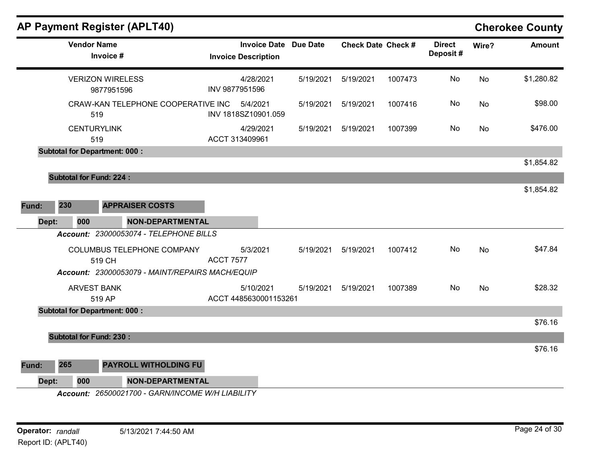| AP Payment Register (APLT40)                     |                                                   |                 |                           |         |                           |           | <b>Cherokee County</b> |
|--------------------------------------------------|---------------------------------------------------|-----------------|---------------------------|---------|---------------------------|-----------|------------------------|
| <b>Vendor Name</b><br>Invoice #                  | <b>Invoice Date</b><br><b>Invoice Description</b> | <b>Due Date</b> | <b>Check Date Check #</b> |         | <b>Direct</b><br>Deposit# | Wire?     | <b>Amount</b>          |
| <b>VERIZON WIRELESS</b><br>9877951596            | 4/28/2021<br>INV 9877951596                       | 5/19/2021       | 5/19/2021                 | 1007473 | No                        | No        | \$1,280.82             |
| CRAW-KAN TELEPHONE COOPERATIVE INC<br>519        | 5/4/2021<br>INV 1818SZ10901.059                   | 5/19/2021       | 5/19/2021                 | 1007416 | No                        | No        | \$98.00                |
| <b>CENTURYLINK</b><br>519                        | 4/29/2021<br>ACCT 313409961                       | 5/19/2021       | 5/19/2021                 | 1007399 | No                        | No        | \$476.00               |
| <b>Subtotal for Department: 000:</b>             |                                                   |                 |                           |         |                           |           |                        |
|                                                  |                                                   |                 |                           |         |                           |           | \$1,854.82             |
| <b>Subtotal for Fund: 224:</b>                   |                                                   |                 |                           |         |                           |           | \$1,854.82             |
| 230<br>Fund:<br><b>APPRAISER COSTS</b>           |                                                   |                 |                           |         |                           |           |                        |
| Dept:<br><b>NON-DEPARTMENTAL</b><br>000          |                                                   |                 |                           |         |                           |           |                        |
| Account: 23000053074 - TELEPHONE BILLS           |                                                   |                 |                           |         |                           |           |                        |
| COLUMBUS TELEPHONE COMPANY<br>519 CH             | 5/3/2021<br><b>ACCT 7577</b>                      | 5/19/2021       | 5/19/2021                 | 1007412 | No                        | No        | \$47.84                |
| Account: 23000053079 - MAINT/REPAIRS MACH/EQUIP  |                                                   |                 |                           |         |                           |           |                        |
| <b>ARVEST BANK</b><br>519 AP                     | 5/10/2021<br>ACCT 4485630001153261                | 5/19/2021       | 5/19/2021                 | 1007389 | No                        | <b>No</b> | \$28.32                |
| <b>Subtotal for Department: 000:</b>             |                                                   |                 |                           |         |                           |           |                        |
|                                                  |                                                   |                 |                           |         |                           |           | \$76.16                |
| <b>Subtotal for Fund: 230:</b>                   |                                                   |                 |                           |         |                           |           | \$76.16                |
| 265<br>PAYROLL WITHOLDING FU<br>Fund:            |                                                   |                 |                           |         |                           |           |                        |
| 000<br><b>NON-DEPARTMENTAL</b><br>Dept:          |                                                   |                 |                           |         |                           |           |                        |
| Account: 26500021700 - GARN/INCOME W/H LIABILITY |                                                   |                 |                           |         |                           |           |                        |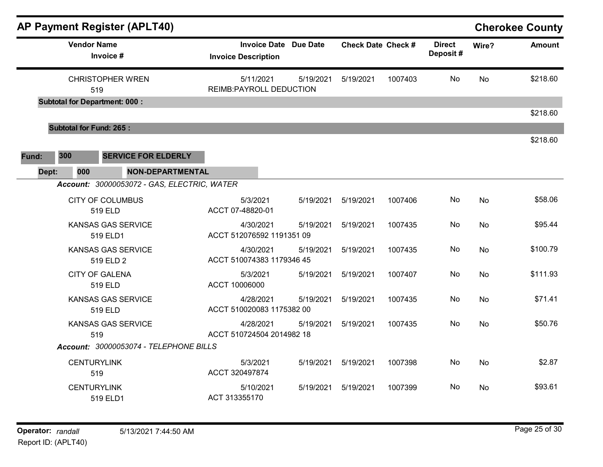| AP Payment Register (APLT40)                |                                                            |           |                           |         |                           |           | <b>Cherokee County</b> |
|---------------------------------------------|------------------------------------------------------------|-----------|---------------------------|---------|---------------------------|-----------|------------------------|
| <b>Vendor Name</b><br>Invoice #             | <b>Invoice Date Due Date</b><br><b>Invoice Description</b> |           | <b>Check Date Check #</b> |         | <b>Direct</b><br>Deposit# | Wire?     | <b>Amount</b>          |
| <b>CHRISTOPHER WREN</b><br>519              | 5/11/2021<br><b>REIMB:PAYROLL DEDUCTION</b>                | 5/19/2021 | 5/19/2021                 | 1007403 | No                        | <b>No</b> | \$218.60               |
| <b>Subtotal for Department: 000:</b>        |                                                            |           |                           |         |                           |           | \$218.60               |
| <b>Subtotal for Fund: 265:</b>              |                                                            |           |                           |         |                           |           |                        |
|                                             |                                                            |           |                           |         |                           |           | \$218.60               |
| 300<br><b>SERVICE FOR ELDERLY</b><br>Fund:  |                                                            |           |                           |         |                           |           |                        |
| 000<br>Dept:<br><b>NON-DEPARTMENTAL</b>     |                                                            |           |                           |         |                           |           |                        |
| Account: 30000053072 - GAS, ELECTRIC, WATER |                                                            |           |                           |         |                           |           |                        |
| <b>CITY OF COLUMBUS</b><br>519 ELD          | 5/3/2021<br>ACCT 07-48820-01                               | 5/19/2021 | 5/19/2021                 | 1007406 | No                        | <b>No</b> | \$58.06                |
| <b>KANSAS GAS SERVICE</b><br>519 ELD1       | 4/30/2021<br>ACCT 512076592 1191351 09                     | 5/19/2021 | 5/19/2021                 | 1007435 | No.                       | No        | \$95.44                |
| <b>KANSAS GAS SERVICE</b><br>519 ELD 2      | 4/30/2021<br>ACCT 510074383 1179346 45                     | 5/19/2021 | 5/19/2021                 | 1007435 | No                        | <b>No</b> | \$100.79               |
| <b>CITY OF GALENA</b><br>519 ELD            | 5/3/2021<br>ACCT 10006000                                  | 5/19/2021 | 5/19/2021                 | 1007407 | No                        | No        | \$111.93               |
| <b>KANSAS GAS SERVICE</b><br>519 ELD        | 4/28/2021<br>ACCT 510020083 1175382 00                     | 5/19/2021 | 5/19/2021                 | 1007435 | No                        | <b>No</b> | \$71.41                |
| <b>KANSAS GAS SERVICE</b><br>519            | 4/28/2021<br>ACCT 510724504 2014982 18                     | 5/19/2021 | 5/19/2021                 | 1007435 | No                        | <b>No</b> | \$50.76                |
| Account: 30000053074 - TELEPHONE BILLS      |                                                            |           |                           |         |                           |           |                        |
| <b>CENTURYLINK</b><br>519                   | 5/3/2021<br>ACCT 320497874                                 | 5/19/2021 | 5/19/2021                 | 1007398 | No                        | <b>No</b> | \$2.87                 |
| <b>CENTURYLINK</b><br>519 ELD1              | 5/10/2021<br>ACT 313355170                                 | 5/19/2021 | 5/19/2021                 | 1007399 | No.                       | <b>No</b> | \$93.61                |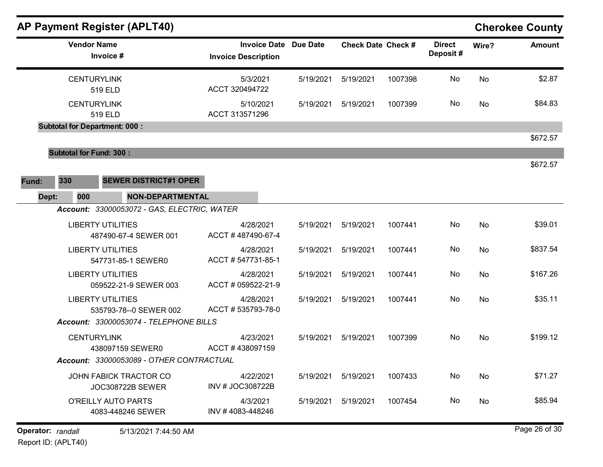| <b>AP Payment Register (APLT40)</b>                |                                                   |                 |                           |         |                           |       | <b>Cherokee County</b> |
|----------------------------------------------------|---------------------------------------------------|-----------------|---------------------------|---------|---------------------------|-------|------------------------|
| <b>Vendor Name</b><br>Invoice #                    | <b>Invoice Date</b><br><b>Invoice Description</b> | <b>Due Date</b> | <b>Check Date Check #</b> |         | <b>Direct</b><br>Deposit# | Wire? | <b>Amount</b>          |
| <b>CENTURYLINK</b><br>519 ELD                      | 5/3/2021<br>ACCT 320494722                        | 5/19/2021       | 5/19/2021                 | 1007398 | No                        | No    | \$2.87                 |
| <b>CENTURYLINK</b><br>519 ELD                      | 5/10/2021<br>ACCT 313571296                       | 5/19/2021       | 5/19/2021                 | 1007399 | No                        | No    | \$84.83                |
| <b>Subtotal for Department: 000:</b>               |                                                   |                 |                           |         |                           |       |                        |
|                                                    |                                                   |                 |                           |         |                           |       | \$672.57               |
| <b>Subtotal for Fund: 300:</b>                     |                                                   |                 |                           |         |                           |       | \$672.57               |
| 330<br><b>SEWER DISTRICT#1 OPER</b>                |                                                   |                 |                           |         |                           |       |                        |
| Fund:<br><b>NON-DEPARTMENTAL</b><br>Dept:<br>000   |                                                   |                 |                           |         |                           |       |                        |
| Account: 33000053072 - GAS, ELECTRIC, WATER        |                                                   |                 |                           |         |                           |       |                        |
| <b>LIBERTY UTILITIES</b><br>487490-67-4 SEWER 001  | 4/28/2021<br>ACCT #487490-67-4                    | 5/19/2021       | 5/19/2021                 | 1007441 | No                        | No    | \$39.01                |
| <b>LIBERTY UTILITIES</b><br>547731-85-1 SEWER0     | 4/28/2021<br>ACCT #547731-85-1                    | 5/19/2021       | 5/19/2021                 | 1007441 | No                        | No    | \$837.54               |
| <b>LIBERTY UTILITIES</b><br>059522-21-9 SEWER 003  | 4/28/2021<br>ACCT # 059522-21-9                   | 5/19/2021       | 5/19/2021                 | 1007441 | No                        | No    | \$167.26               |
| <b>LIBERTY UTILITIES</b><br>535793-78--0 SEWER 002 | 4/28/2021<br>ACCT #535793-78-0                    | 5/19/2021       | 5/19/2021                 | 1007441 | No                        | No    | \$35.11                |
| Account: 33000053074 - TELEPHONE BILLS             |                                                   |                 |                           |         |                           |       |                        |
| <b>CENTURYLINK</b><br>438097159 SEWER0             | 4/23/2021<br>ACCT #438097159                      | 5/19/2021       | 5/19/2021                 | 1007399 | No                        | No    | \$199.12               |
| Account: 33000053089 - OTHER CONTRACTUAL           |                                                   |                 |                           |         |                           |       |                        |
| JOHN FABICK TRACTOR CO<br><b>JOC308722B SEWER</b>  | 4/22/2021<br>INV # JOC308722B                     | 5/19/2021       | 5/19/2021                 | 1007433 | No                        | No    | \$71.27                |
| <b>O'REILLY AUTO PARTS</b><br>4083-448246 SEWER    | 4/3/2021<br>INV #4083-448246                      | 5/19/2021       | 5/19/2021                 | 1007454 | No                        | No    | \$85.94                |
| Operator: randall<br>5/13/2021 7:44:50 AM          |                                                   |                 |                           |         |                           |       | Page 26 of 30          |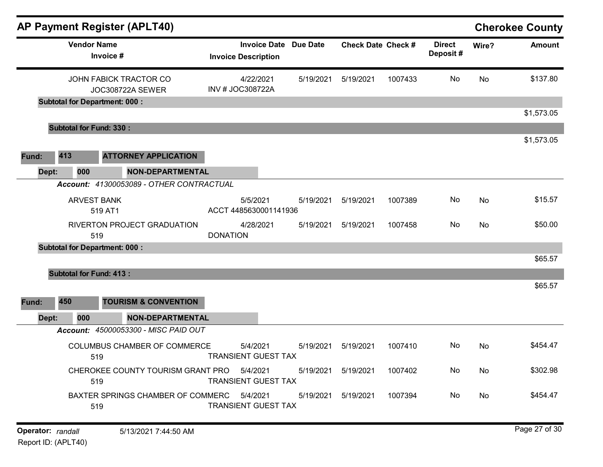|              | <b>AP Payment Register (APLT40)</b>               |                 |                                                   |                 |                           |         |                           |       | <b>Cherokee County</b> |
|--------------|---------------------------------------------------|-----------------|---------------------------------------------------|-----------------|---------------------------|---------|---------------------------|-------|------------------------|
|              | <b>Vendor Name</b><br>Invoice #                   |                 | <b>Invoice Date</b><br><b>Invoice Description</b> | <b>Due Date</b> | <b>Check Date Check #</b> |         | <b>Direct</b><br>Deposit# | Wire? | <b>Amount</b>          |
|              | JOHN FABICK TRACTOR CO<br><b>JOC308722A SEWER</b> |                 | 4/22/2021<br>INV # JOC308722A                     | 5/19/2021       | 5/19/2021                 | 1007433 | No                        | No    | \$137.80               |
|              | <b>Subtotal for Department: 000:</b>              |                 |                                                   |                 |                           |         |                           |       | \$1,573.05             |
|              | <b>Subtotal for Fund: 330:</b>                    |                 |                                                   |                 |                           |         |                           |       |                        |
|              |                                                   |                 |                                                   |                 |                           |         |                           |       | \$1,573.05             |
| 413<br>Fund: | <b>ATTORNEY APPLICATION</b>                       |                 |                                                   |                 |                           |         |                           |       |                        |
| Dept:        | <b>NON-DEPARTMENTAL</b><br>000                    |                 |                                                   |                 |                           |         |                           |       |                        |
|              | Account: 41300053089 - OTHER CONTRACTUAL          |                 |                                                   |                 |                           |         |                           |       |                        |
|              | <b>ARVEST BANK</b><br>519 AT1                     |                 | 5/5/2021<br>ACCT 4485630001141936                 | 5/19/2021       | 5/19/2021                 | 1007389 | No                        | No    | \$15.57                |
|              | RIVERTON PROJECT GRADUATION<br>519                | <b>DONATION</b> | 4/28/2021                                         | 5/19/2021       | 5/19/2021                 | 1007458 | No                        | No    | \$50.00                |
|              | <b>Subtotal for Department: 000:</b>              |                 |                                                   |                 |                           |         |                           |       |                        |
|              |                                                   |                 |                                                   |                 |                           |         |                           |       | \$65.57                |
|              | <b>Subtotal for Fund: 413:</b>                    |                 |                                                   |                 |                           |         |                           |       | \$65.57                |
| 450<br>Fund: | <b>TOURISM &amp; CONVENTION</b>                   |                 |                                                   |                 |                           |         |                           |       |                        |
| Dept:        | <b>NON-DEPARTMENTAL</b><br>000                    |                 |                                                   |                 |                           |         |                           |       |                        |
|              | Account: 45000053300 - MISC PAID OUT              |                 |                                                   |                 |                           |         |                           |       |                        |
|              | <b>COLUMBUS CHAMBER OF COMMERCE</b><br>519        |                 | 5/4/2021<br><b>TRANSIENT GUEST TAX</b>            | 5/19/2021       | 5/19/2021                 | 1007410 | No                        | No    | \$454.47               |
|              | CHEROKEE COUNTY TOURISM GRANT PRO 5/4/2021<br>519 |                 | <b>TRANSIENT GUEST TAX</b>                        |                 | 5/19/2021   5/19/2021     | 1007402 | No.                       | No    | \$302.98               |
|              | BAXTER SPRINGS CHAMBER OF COMMERC 5/4/2021<br>519 |                 | <b>TRANSIENT GUEST TAX</b>                        |                 | 5/19/2021   5/19/2021     | 1007394 | No                        | No    | \$454.47               |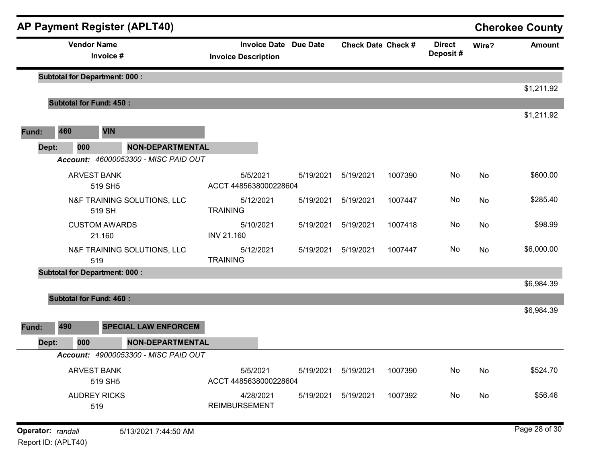|                   |     |                                      | <b>AP Payment Register (APLT40)</b>  |                                                            |           |                           |         |                           |       | <b>Cherokee County</b> |
|-------------------|-----|--------------------------------------|--------------------------------------|------------------------------------------------------------|-----------|---------------------------|---------|---------------------------|-------|------------------------|
|                   |     | <b>Vendor Name</b><br>Invoice #      |                                      | <b>Invoice Date Due Date</b><br><b>Invoice Description</b> |           | <b>Check Date Check #</b> |         | <b>Direct</b><br>Deposit# | Wire? | <b>Amount</b>          |
|                   |     | <b>Subtotal for Department: 000:</b> |                                      |                                                            |           |                           |         |                           |       |                        |
|                   |     | <b>Subtotal for Fund: 450:</b>       |                                      |                                                            |           |                           |         |                           |       | \$1,211.92             |
|                   |     |                                      |                                      |                                                            |           |                           |         |                           |       | \$1,211.92             |
| Fund:             | 460 | <b>VIN</b>                           |                                      |                                                            |           |                           |         |                           |       |                        |
| Dept:             |     | 000                                  | <b>NON-DEPARTMENTAL</b>              |                                                            |           |                           |         |                           |       |                        |
|                   |     |                                      | Account: 46000053300 - MISC PAID OUT |                                                            |           |                           |         |                           |       |                        |
|                   |     | <b>ARVEST BANK</b><br>519 SH5        |                                      | 5/5/2021<br>ACCT 4485638000228604                          | 5/19/2021 | 5/19/2021                 | 1007390 | No                        | No    | \$600.00               |
|                   |     | 519 SH                               | N&F TRAINING SOLUTIONS, LLC          | 5/12/2021<br><b>TRAINING</b>                               | 5/19/2021 | 5/19/2021                 | 1007447 | No                        | No    | \$285.40               |
|                   |     | <b>CUSTOM AWARDS</b><br>21.160       |                                      | 5/10/2021<br>INV 21.160                                    | 5/19/2021 | 5/19/2021                 | 1007418 | No                        | No    | \$98.99                |
|                   |     | 519                                  | N&F TRAINING SOLUTIONS, LLC          | 5/12/2021<br><b>TRAINING</b>                               | 5/19/2021 | 5/19/2021                 | 1007447 | No                        | No    | \$6,000.00             |
|                   |     | <b>Subtotal for Department: 000:</b> |                                      |                                                            |           |                           |         |                           |       |                        |
|                   |     |                                      |                                      |                                                            |           |                           |         |                           |       | \$6,984.39             |
|                   |     | <b>Subtotal for Fund: 460:</b>       |                                      |                                                            |           |                           |         |                           |       |                        |
| Fund:             | 490 |                                      | <b>SPECIAL LAW ENFORCEM</b>          |                                                            |           |                           |         |                           |       | \$6,984.39             |
| Dept:             |     | 000                                  | <b>NON-DEPARTMENTAL</b>              |                                                            |           |                           |         |                           |       |                        |
|                   |     |                                      | Account: 49000053300 - MISC PAID OUT |                                                            |           |                           |         |                           |       |                        |
|                   |     | <b>ARVEST BANK</b><br>519 SH5        |                                      | 5/5/2021<br>ACCT 4485638000228604                          | 5/19/2021 | 5/19/2021                 | 1007390 | No                        | No    | \$524.70               |
|                   |     | <b>AUDREY RICKS</b><br>519           |                                      | 4/28/2021<br><b>REIMBURSEMENT</b>                          | 5/19/2021 | 5/19/2021                 | 1007392 | No                        | No    | \$56.46                |
| Operator: randall |     |                                      | 5/13/2021 7:44:50 AM                 |                                                            |           |                           |         |                           |       | Page 28 of 30          |

Report ID: (APLT40)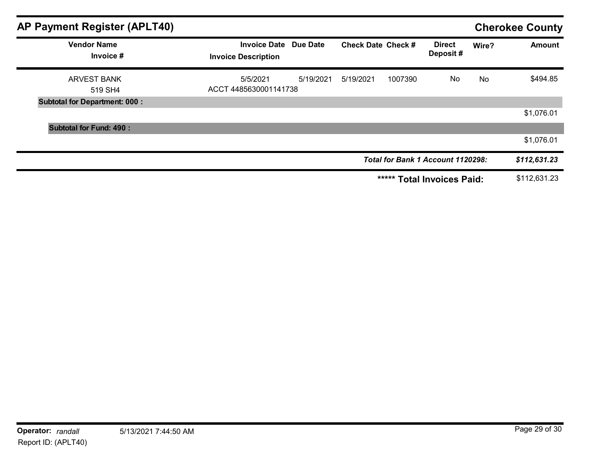| AP Payment Register (APLT40)         |                                                            |           |                           |         |                                   |       | <b>Cherokee County</b> |
|--------------------------------------|------------------------------------------------------------|-----------|---------------------------|---------|-----------------------------------|-------|------------------------|
| <b>Vendor Name</b><br>Invoice #      | <b>Invoice Date Due Date</b><br><b>Invoice Description</b> |           | <b>Check Date Check #</b> |         | <b>Direct</b><br>Deposit#         | Wire? | <b>Amount</b>          |
| <b>ARVEST BANK</b><br>519 SH4        | 5/5/2021<br>ACCT 4485630001141738                          | 5/19/2021 | 5/19/2021                 | 1007390 | No                                | No    | \$494.85               |
| <b>Subtotal for Department: 000:</b> |                                                            |           |                           |         |                                   |       |                        |
|                                      |                                                            |           |                           |         |                                   |       | \$1,076.01             |
| <b>Subtotal for Fund: 490:</b>       |                                                            |           |                           |         |                                   |       |                        |
|                                      |                                                            |           |                           |         |                                   |       | \$1,076.01             |
|                                      |                                                            |           |                           |         | Total for Bank 1 Account 1120298: |       | \$112,631.23           |
|                                      |                                                            |           |                           | *****   | <b>Total Invoices Paid:</b>       |       | \$112,631.23           |